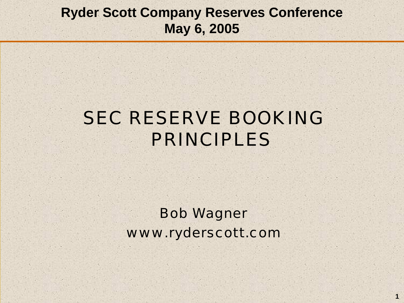#### **Ryder Scott Company Reserves Conference May 6, 2005**

### SEC RESERVE BOOKING PRINCIPLES

Bob Wagner www.ryderscott.com

**1**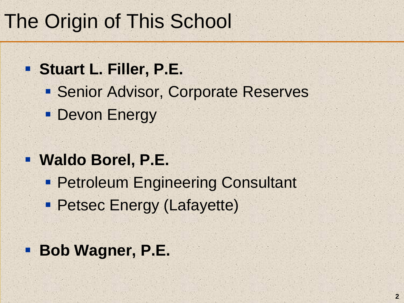# The Origin of This School

- **Stuart L. Filler, P.E.**
	- **Senior Advisor, Corporate Reserves**
	- **Devon Energy**
- **Waldo Borel, P.E.**
	- **Petroleum Engineering Consultant**
	- Petsec Energy (Lafayette)
- **Bob Wagner, P.E.**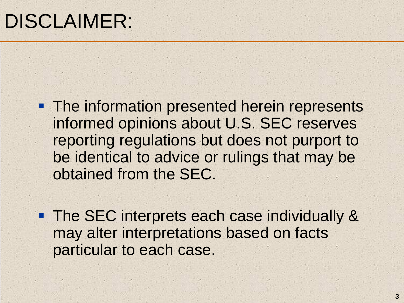- **The information presented herein represents** informed opinions about U.S. SEC reserves reporting regulations but does not purport to be identical to advice or rulings that may be obtained from the SEC.
- **The SEC interprets each case individually &** may alter interpretations based on facts particular to each case.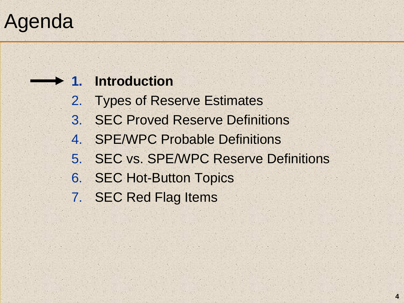# Agenda

#### **1. Introduction**

- 2. Types of Reserve Estimates
- 3. SEC Proved Reserve Definitions
- 4. SPE/WPC Probable Definitions
- 5. SEC vs. SPE/WPC Reserve Definitions
- 6. SEC Hot-Button Topics
- 7. SEC Red Flag Items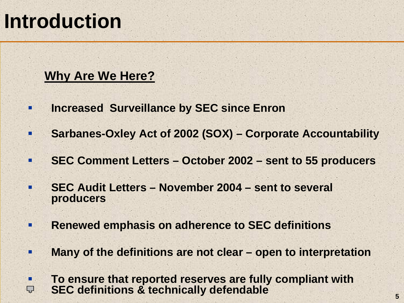#### **Why Are We Here?**

- $\blacksquare$ **Increased Surveillance by SEC since Enron**
- п **Sarbanes-Oxley Act of 2002 (SOX) – Corporate Accountability**
- $\blacksquare$ **SEC Comment Letters – October 2002 – sent to 55 producers**
- п **SEC Audit Letters – November 2004 – sent to several producers**
- п **Renewed emphasis on adherence to SEC definitions**
- п **Many of the definitions are not clear – open to interpretation**

 **To ensure that reported reserves are fully compliant with**   $\blacksquare$ **SEC definitions & technically defendable** Ç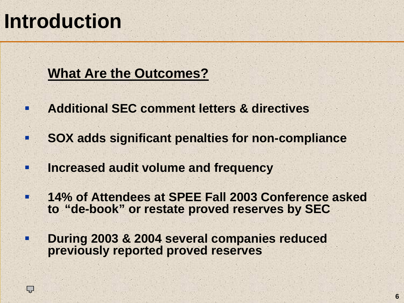$\blacksquare$ 

 $\blacksquare$ 

Ŧ

**TA** 

Ç

#### **What Are the Outcomes?**

- **Additional SEC comment letters & directives**
	- **SOX adds significant penalties for non-compliance**
- **Increased audit volume and frequency**
- **14% of Attendees at SPEE Fall 2003 Conference asked to "de-book" or restate proved reserves by SEC**
- п **During 2003 & 2004 several companies reduced previously reported proved reserves**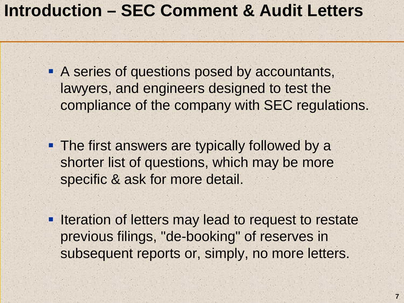#### SECRET SECTREMENT GRUPP CONTROLLER **Introduction – SEC Comment & Audit Letters**

A series of questions posed by accountants, lawyers, and engineers designed to test the compliance of the company with SEC regulations.

- **The first answers are typically followed by a** shorter list of questions, which may be more specific & ask for more detail.
- **Iteration of letters may lead to request to restate** previous filings, "de-booking" of reserves in subsequent reports or, simply, no more letters.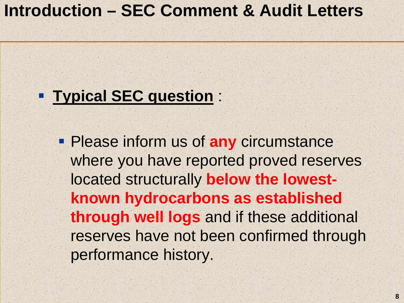#### SECRET SECTREMENT GRUPP CONTROLLER **Introduction – SEC Comment & Audit Letters**

#### **Typical SEC question** :

 Please inform us of **any** circumstance where you have reported proved reserves located structurally **below the lowestknown hydrocarbons as established through well logs** and if these additional reserves have not been confirmed through performance history.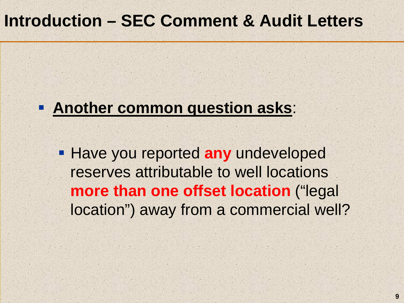#### **Another common question asks**:

**Have you reported any undeveloped** reserves attributable to well locations **more than one offset location** ("legal location") away from a commercial well?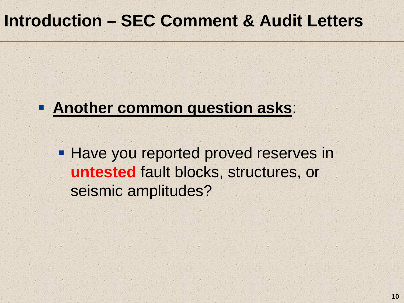#### **Another common question asks**:

**Have you reported proved reserves in untested** fault blocks, structures, or seismic amplitudes?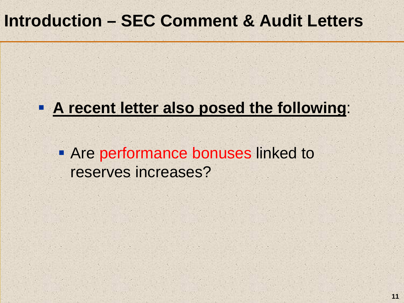#### **A recent letter also posed the following**:

**• Are performance bonuses linked to** reserves increases?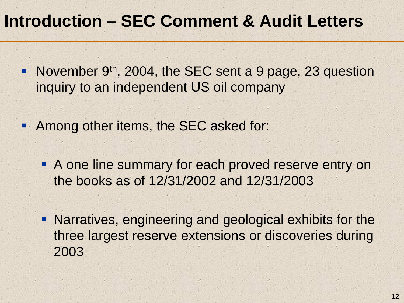- November 9<sup>th</sup>, 2004, the SEC sent a 9 page, 23 question inquiry to an independent US oil company
- **Among other items, the SEC asked for:** 
	- **A one line summary for each proved reserve entry on** the books as of 12/31/2002 and 12/31/2003
	- Narratives, engineering and geological exhibits for the three largest reserve extensions or discoveries during 2003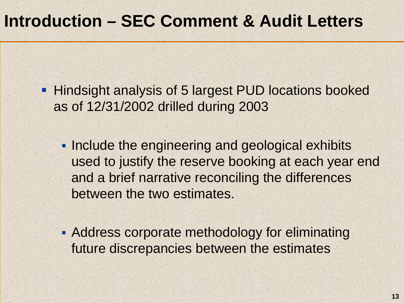**Hindsight analysis of 5 largest PUD locations booked** as of 12/31/2002 drilled during 2003

**Include the engineering and geological exhibits** used to justify the reserve booking at each year end and a brief narrative reconciling the differences between the two estimates.

**Address corporate methodology for eliminating** future discrepancies between the estimates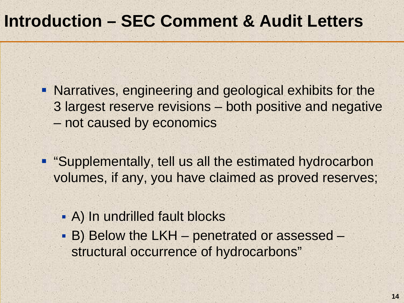- Narratives, engineering and geological exhibits for the 3 largest reserve revisions – both positive and negative –not caused by economics
- **"Supplementally, tell us all the estimated hydrocarbon** volumes, if any, you have claimed as proved reserves;
	- A) In undrilled fault blocks
	- B) Below the LKH penetrated or assessed structural occurrence of hydrocarbons"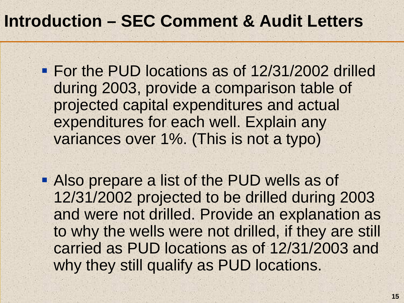- **For the PUD locations as of 12/31/2002 drilled** during 2003, provide a comparison table of projected capital expenditures and actual expenditures for each well. Explain any variances over 1%. (This is not a typo)
- Also prepare a list of the PUD wells as of 12/31/2002 projected to be drilled during 2003 and were not drilled. Provide an explanation as to why the wells were not drilled, if they are still carried as PUD locations as of 12/31/2003 and why they still qualify as PUD locations.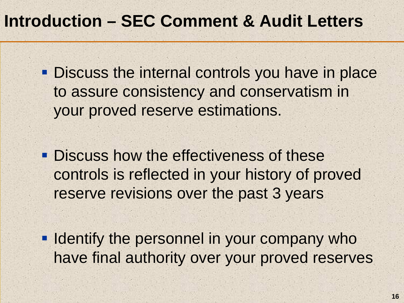**Discuss the internal controls you have in place** to assure consistency and conservatism in your proved reserve estimations.

**Discuss how the effectiveness of these** controls is reflected in your history of proved reserve revisions over the past 3 years

**IDENTIFY THE PERSONNEL IN YOUR COMPANY Who** have final authority over your proved reserves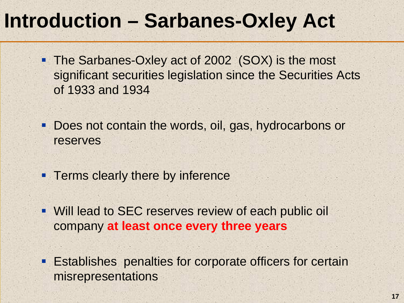- The Sarbanes-Oxley act of 2002 (SOX) is the most significant securities legislation since the Securities Acts of 1933 and 1934
- $\blacksquare$  Does not contain the words, oil, gas, hydrocarbons or reserves
- **Terms clearly there by inference**
- Will lead to SEC reserves review of each public oil company **at least once every three years**
- Establishes penalties for corporate officers for certain misrepresentations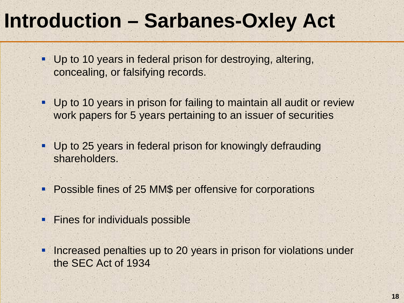- Up to 10 years in federal prison for destroying, altering, concealing, or falsifying records.
- Up to 10 years in prison for failing to maintain all audit or review work papers for 5 years pertaining to an issuer of securities
- Up to 25 years in federal prison for knowingly defrauding shareholders.
- **Possible fines of 25 MM\$ per offensive for corporations**
- **Fines for individuals possible**
- $\blacksquare$  Increased penalties up to 20 years in prison for violations under the SEC Act of 1934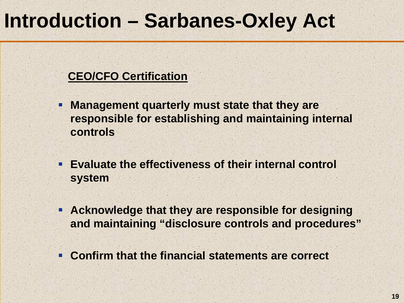#### **CEO/CFO Certification**

- I. **Management quarterly must state that they are responsible for establishing and maintaining internal controls**
- **Evaluate the effectiveness of their internal control system**
- **Acknowledge that they are responsible for designing and maintaining "disclosure controls and procedures"**
- **Confirm that the financial statements are correct**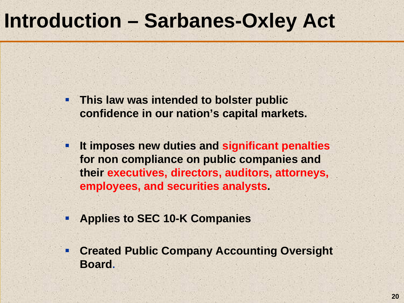- п **This law was intended to bolster public confidence in our nation's capital markets.**
- $\blacksquare$  **It imposes new duties and significant penalties for non compliance on public companies and their executives, directors, auditors, attorneys, employees, and securities analysts.**
- $\blacksquare$ **Applies to SEC 10-K Companies**
- $\blacksquare$  **Created Public Company Accounting Oversight Board.**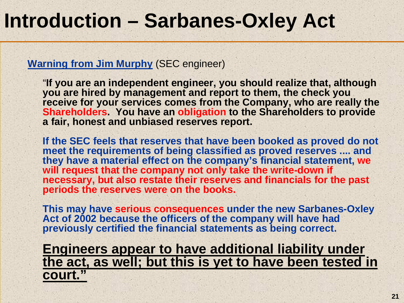#### **Warning from Jim Murphy** (SEC engineer)

"**If you are an independent engineer, you should realize that, although you are hired by management and report to them, the check you receive for your services comes from the Company, who are really the Shareholders. You have an obligation to the Shareholders to provide a fair, honest and unbiased reserves report.** 

**If the SEC feels that reserves that have been booked as proved do not meet the requirements of being classified as proved reserves .... and they have a material effect on the company's financial statement, we will request that the company not only take the write-down if necessary, but also restate their reserves and financials for the past periods the reserves were on the books.** 

**This may have serious consequences under the new Sarbanes-Oxley Act of 2002 because the officers of the company will have had previously certified the financial statements as being correct.**

**Engineers appear to have additional liability under the act, as well; but this is yet to have been tested in court."**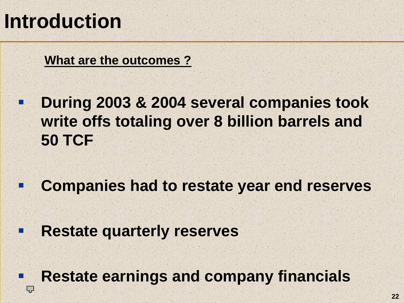п

 $\mathcal{L}_{\mathcal{A}}$ 

L,

**What are the outcomes ?** 

n **During 2003 & 2004 several companies took write offs totaling over 8 billion barrels and 50 TCF**

**Companies had to restate year end reserves**

П **Restate quarterly reserves**

**Restate earnings and company financials**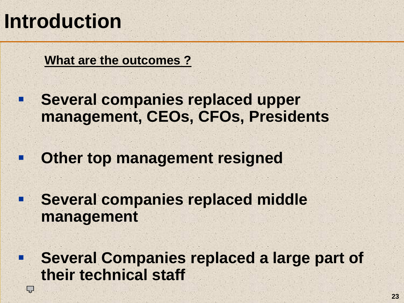$\blacksquare$ 

Ç

**What are the outcomes ?** 

- $\blacksquare$  **Several companies replaced upper management, CEOs, CFOs, Presidents**
- $\blacksquare$ **Other top management resigned**
- $\blacksquare$  **Several companies replaced middle management**
	- **Several Companies replaced a large part of their technical staff**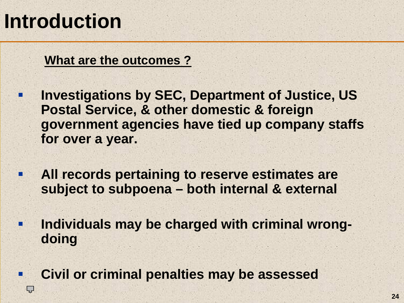п

Ç

**What are the outcomes ?** 

- . **Investigations by SEC, Department of Justice, US Postal Service, & other domestic & foreign government agencies have tied up company staffs for over a year.**
- $\blacksquare$  **All records pertaining to reserve estimates are subject to subpoena – both internal & external**
- $\blacksquare$  **Individuals may be charged with criminal wrongdoing**
	- **Civil or criminal penalties may be assessed**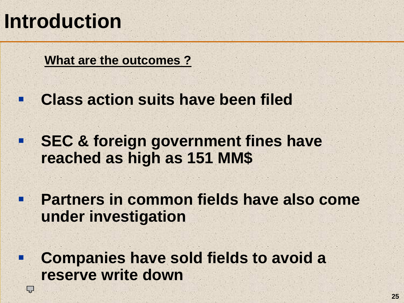$\blacksquare$ 

Ç

**What are the outcomes ?** 

- п **Class action suits have been filed**
- $\mathcal{L}_{\mathcal{A}}$  **SEC & foreign government fines have reached as high as 151 MM\$**
- $\blacksquare$  **Partners in common fields have also come under investigation**
	- **Companies have sold fields to avoid a reserve write down**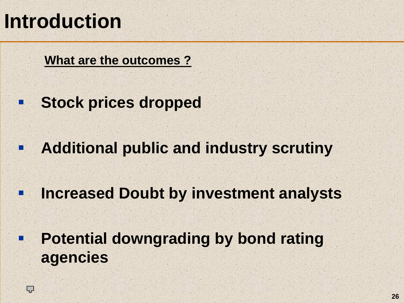Ç

**What are the outcomes ?** 

- n. **Stock prices dropped**
- U. **Additional public and industry scrutiny**
- $\blacksquare$ **Increased Doubt by investment analysts**

п **Potential downgrading by bond rating agencies**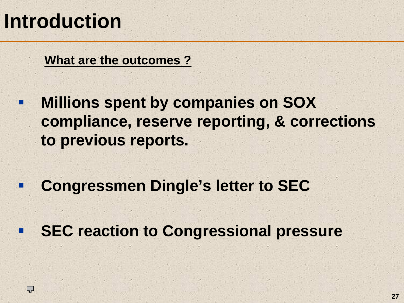п

**What are the outcomes ?** 

п **Millions spent by companies on SOX compliance, reserve reporting, & corrections to previous reports.**

**Congressmen Dingle's letter to SEC**

■ **SEC reaction to Congressional pressure**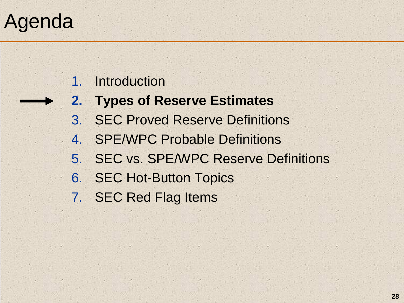# Agenda

#### 1.. Introduction

- **2. Types of Reserve Estimates**
- 3. SEC Proved Reserve Definitions
- 4. SPE/WPC Probable Definitions
- 5. SEC vs. SPE/WPC Reserve Definitions
- 6. SEC Hot-Button Topics
- 7. SEC Red Flag Items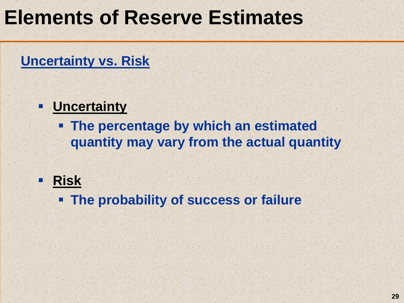# **Elements of Reserve Estimates**

#### **Uncertainty vs. Risk**

#### $\blacksquare$ **Uncertainty**

 **The percentage by which an estimated quantity may vary from the actual quantity**

#### **Risk**

**The probability of success or failure**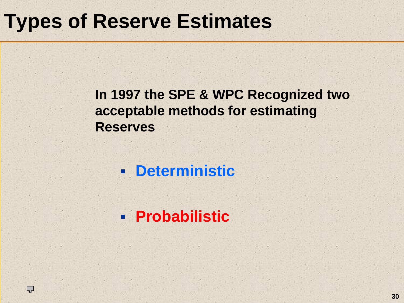#### **In 1997 the SPE & WPC Recognized two acceptable methods for estimating Reserves**

#### **Deterministic**

#### **Probabilistic**

Ç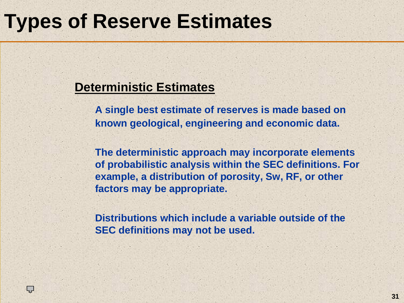#### **Deterministic Estimates**

Ç

**A single best estimate of reserves is made based on known geological, engineering and economic data.** 

**The deterministic approach may incorporate elements of probabilistic analysis within the SEC definitions. For example, a distribution of porosity, Sw, RF, or other factors may be appropriate.** 

**Distributions which include a variable outside of the SEC definitions may not be used.**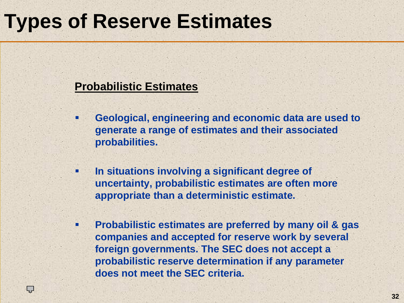#### **Probabilistic Estimates**

Ç

- П **Geological, engineering and economic data are used to generate a range of estimates and their associated probabilities.**
- ۰ **In situations involving a significant degree of uncertainty, probabilistic estimates are often more appropriate than a deterministic estimate.**
- п **Probabilistic estimates are preferred by many oil & gas companies and accepted for reserve work by several foreign governments. The SEC does not accept a probabilistic reserve determination if any parameter does not meet the SEC criteria.**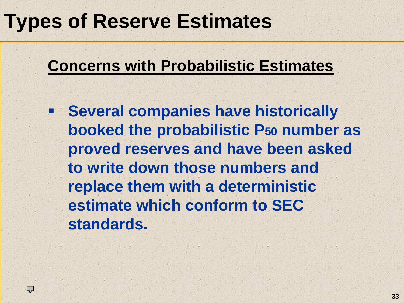#### **Concerns with Probabilistic Estimates**

**Several companies have historically booked the probabilistic P50 number as proved reserves and have been asked to write down those numbers and replace them with a deterministic estimate which conform to SEC standards.**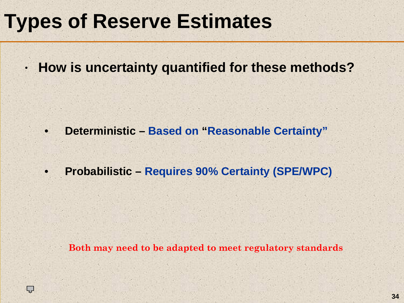# Types of Reserve Estimates **Types of Reserve Estimates**

ÇJ

•**How is uncertainty quantified for these methods?**

•**Deterministic – Based on "Reasonable Certainty"**

•**Probabilistic – Requires 90% Certainty (SPE/WPC)**

**Both may need to be adapted to meet regulatory standards**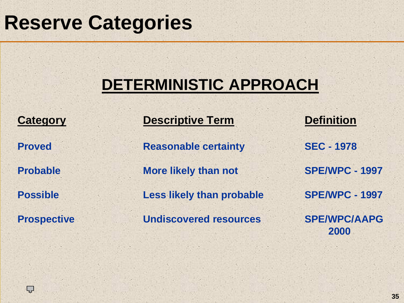#### $\mathcal{F}_\mathcal{A}$  , and  $\mathcal{F}_\mathcal{A}$  are  $\mathcal{F}_\mathcal{A}$  , and  $\mathcal{F}_\mathcal{A}$  , and  $\mathcal{F}_\mathcal{A}$  , and  $\mathcal{F}_\mathcal{A}$ **Reserve Categories Reserve Categories**

### **DETERMINISTIC APPROACH**

Ç

**Category Descriptive Term Definition Proved Reasonable certainty SEC - 1978 Probable More likely than not SPE/WPC - 1997 Possible Less likely than probable SPE/WPC - 1997 Prospective Undiscovered resources SPE/WPC/AAPG**

**2000**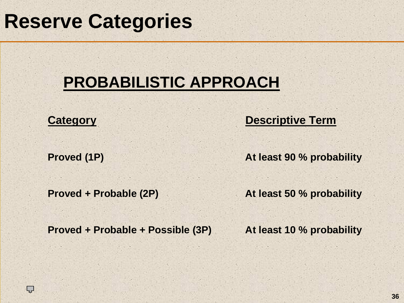# **Reserve Categories**

### **PROBABILISTIC APPROACH**

ĻĻ

**Category Descriptive Term** 

**Proved (1P) At least 90 % probability**

**Proved + Probable (2P) At least 50 % probability**

**Proved + Probable + Possible (3P) At least 10 % probability**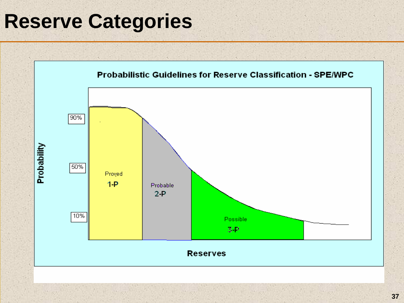### **Reserve Categories**

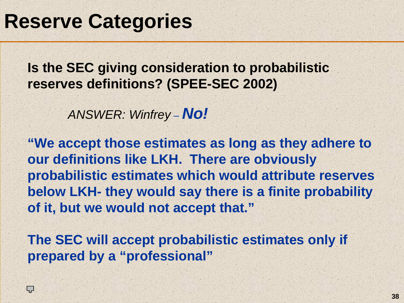Ç

**Is the SEC giving consideration to probabilistic reserves definitions? (SPEE-SEC 2002)**

> *ANSWER: Winfrey – No!*

**"We accept those estimates as long as they adhere to our definitions like LKH. There are obviously probabilistic estimates which would attribute reserves below LKH- they would say there is a finite probability of it, but we would not accept that."**

**The SEC will accept probabilistic estimates only if prepared by a "professional"**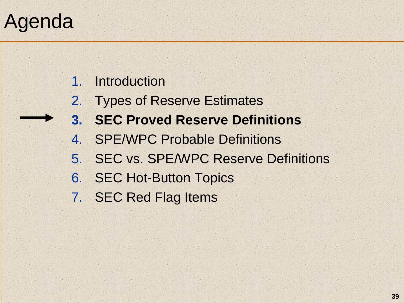### Agenda

#### 1.. Introduction

- 2. Types of Reserve Estimates
- **3. SEC Proved Reserve Definitions**
- 4. SPE/WPC Probable Definitions
- 5. SEC vs. SPE/WPC Reserve Definitions
- 6. SEC Hot-Button Topics
- 7. SEC Red Flag Items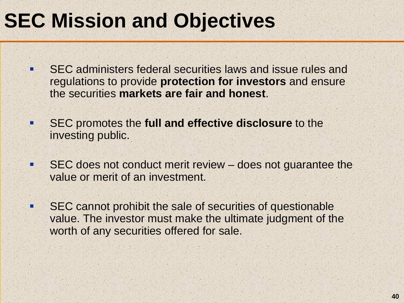### **SEC Mission and Objectives**

- ۰. SEC administers federal securities laws and issue rules and regulations to provide **protection for investors** and ensure the securities **markets are fair and honest**.
- п SEC promotes the **full and effective disclosure** to the investing public.
- п SEC does not conduct merit review – does not guarantee the value or merit of an investment.
- $\blacksquare$  SEC cannot prohibit the sale of securities of questionable value. The investor must make the ultimate judgment of the worth of any securities offered for sale.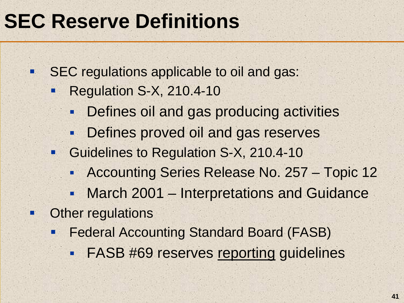#### CEC Desemie Definities and Exchange CLO RESERVE DE **SEC Reserve Definitions**

 $\blacksquare$ SEC regulations applicable to oil and gas:

- $\blacksquare$  Regulation S-X, 210.4-10
	- Defines oil and gas producing activities
	- Defines proved oil and gas reserves
- **Guidelines to Regulation S-X, 210.4-10** 
	- **Accounting Series Release No. 257 Topic 12**
	- March 2001 Interpretations and Guidance
- Other regulations

n.

- $\blacksquare$  Federal Accounting Standard Board (FASB)
	- $\blacksquare$ FASB #69 reserves reporting guidelines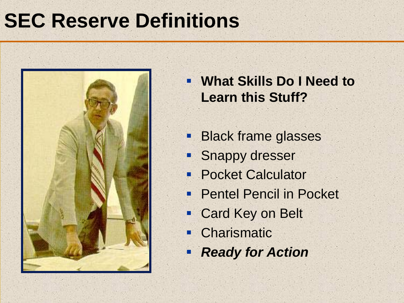

 **What Skills Do I Need to Learn this Stuff?**

- П Black frame glasses
- ٦ö Snappy dresser
- $\blacksquare$ Pocket Calculator
- $\blacksquare$ Pentel Pencil in Pocket
- Card Key on Belt
- F **Charismatic**
- F *Ready for Action*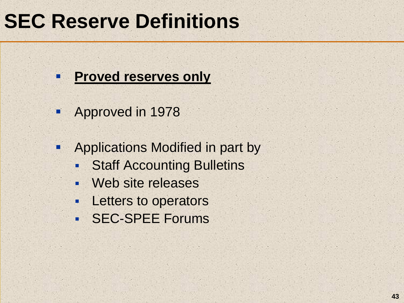#### $\mathbb{Z}$  States Securities  $\mathbb{Z}$ OLY VESEL AE DE **SEC Reserve Definitions**



- **Approved in 1978**
- $\blacksquare$  Applications Modified in part by
	- П Staff Accounting Bulletins
	- I. Web site releases
	- $\blacksquare$ Letters to operators
	- SEC-SPEE Forums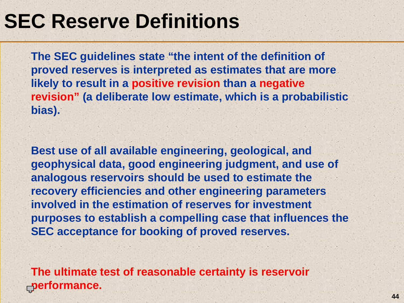**The SEC guidelines state "the intent of the definition of proved reserves is interpreted as estimates that are more likely to result in a positive revision than a negative revision" (a deliberate low estimate, which is a probabilistic bias).** 

**Best use of all available engineering, geological, and geophysical data, good engineering judgment, and use of analogous reservoirs should be used to estimate the recovery efficiencies and other engineering parameters involved in the estimation of reserves for investment purposes to establish a compelling case that influences the SEC acceptance for booking of proved reserves.** 

**The ultimate test of reasonable certainty is reservoir performance.**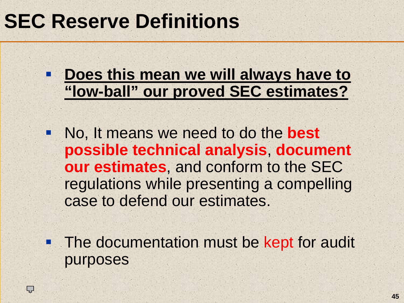**Phoes this mean we will always have to "low-ball" our proved SEC estimates?**

 No, It means we need to do the **best possible technical analysis**, **document our estimates**, and conform to the SEC regulations while presenting a compelling case to defend our estimates.

**The documentation must be kept for audit** purposes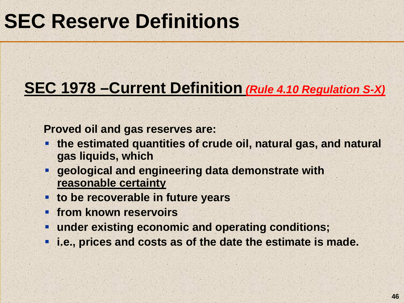### **SEC 1978 –Current Definition** *(Rule 4.10 Regulation S-X)*

**Proved oil and gas reserves are:**

- F **the estimated quantities of crude oil, natural gas, and natural gas liquids, which**
- П **geological and engineering data demonstrate with reasonable certainty**
- **to be recoverable in future years**
- п **Figure 1 Figure 10 Figure 10 Figure 10 Figure 10 Figure 10 Figure 10 Figure 10 Figure 10 Figure 10 Figure 10 Figure 10 Figure 10 Figure 10 Figure 10 Figure 10 Figure 10 Figure 10 Figure 10 Figure 10 Figure 10 Figure 10 Fi**
- п **under existing economic and operating conditions;**
- п **i.e., prices and costs as of the date the estimate is made.**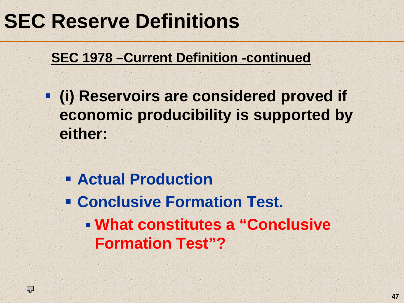### *Reserve Definitions* **SEC Reserve Definitions**

### **SEC 1978 –Current Definition -continued**

- **(i) Reservoirs are considered proved if economic producibility is supported by either:**
	- **Actual Production**
	- **Conclusive Formation Test.**
		- **What constitutes a "Conclusive Formation Test"?**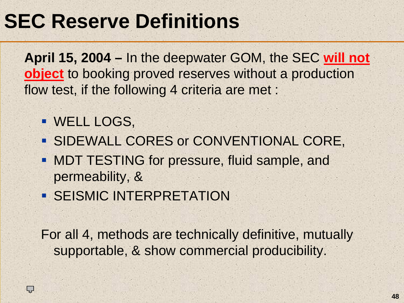### *Reserve Definitions* **SEC Reserve Definitions**

**April 15, 2004 –** In the deepwater GOM, the SEC **will not object** to booking proved reserves without a production flow test, if the following 4 criteria are met :

WELL LOGS,

Ç

- **SIDEWALL CORES or CONVENTIONAL CORE,**
- **MDT TESTING for pressure, fluid sample, and** permeability, &
- **SEISMIC INTERPRETATION**

For all 4, methods are technically definitive, mutually supportable, & show commercial producibility.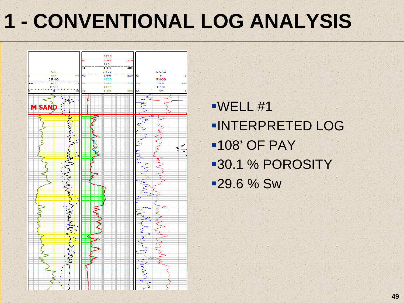# **1 - CONVENTIONAL LOG ANALYSIS**



WELL #1 INTERPRETED LOG108' OF PAY 30.1 % POROSITY 29.6 % Sw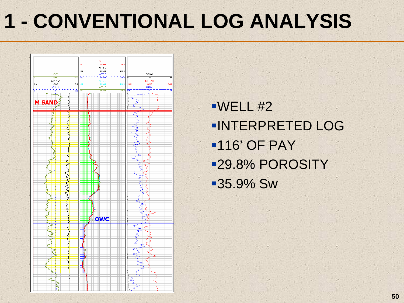# **1 - CONVENTIONAL LOG ANALYSIS**



WELL #2 INTERPRETED LOG116' OF PAY 29.8% POROSITY 35.9% Sw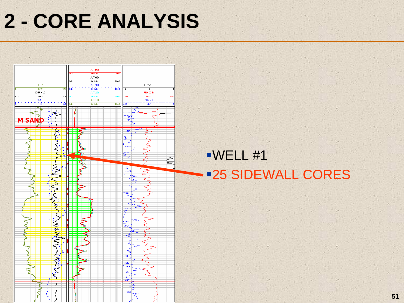# **2 - CORE ANALYSIS**



### WELL #1 25 SIDEWALL CORES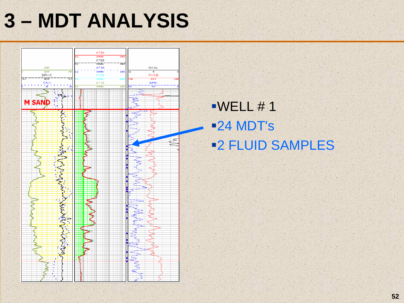# STEP 3 - MDT ANALYSIS **3 – MDT ANALYSIS**



### $\blacksquare$ WELL # 1 24 MDT's 2 FLUID SAMPLES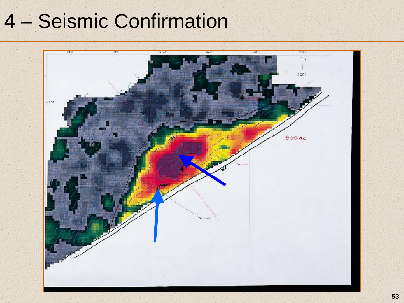### 4 – Seismic Confirmation

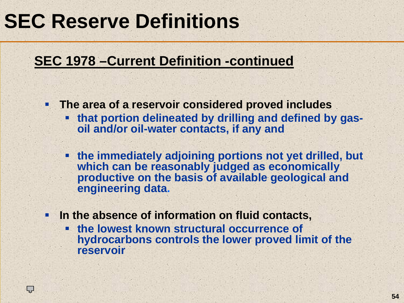### *Reserve Definitions* **SEC Reserve Definitions**

L<br>1

#### **SEC 1978 –Current Definition -continued**

- П **The area of a reservoir considered proved includes** 
	- **that portion delineated by drilling and defined by gasoil and/or oil-water contacts, if any and**
	- **the immediately adjoining portions not yet drilled, but which can be reasonably judged as economically productive on the basis of available geological and engineering data.**
- $\blacksquare$  **In the absence of information on fluid contacts,** 
	- **the lowest known structural occurrence of hydrocarbons controls the lower proved limit of the reservoir**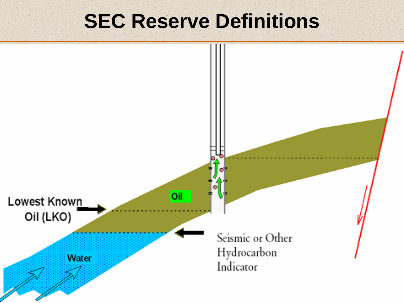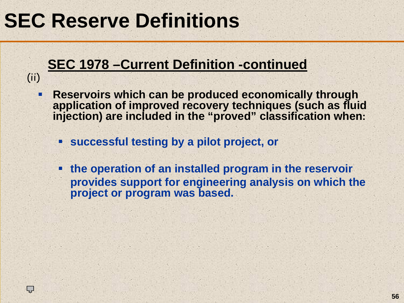(ii)

Ç

### **SEC 1978 –Current Definition -continued**

- п **Reservoirs which can be produced economically through application of improved recovery techniques (such as fluid injection) are included in the "proved" classification when:**
	- **successful testing by a pilot project, or**
	- I. **the operation of an installed program in the reservoir provides support for engineering analysis on which the project or program was based.**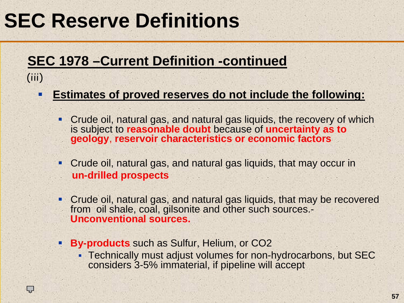(iii)

Ç

#### **SEC 1978 –Current Definition -continued**

#### п **Estimates of proved reserves do not include the following:**

- Crude oil, natural gas, and natural gas liquids, the recovery of which is subject to **reasonable doubt** because of **uncertainty as to geology**, **reservoir characteristics or economic factors**
- Crude oil, natural gas, and natural gas liquids, that may occur in **un-drilled prospects**
- Crude oil, natural gas, and natural gas liquids, that may be recovered from oil shale, coal, gilsonite and other such sources.- **Unconventional sources.**
- **By-products** such as Sulfur, Helium, or CO2
	- Technically must adjust volumes for non-hydrocarbons, but SEC considers 3-5% immaterial, if pipeline will accept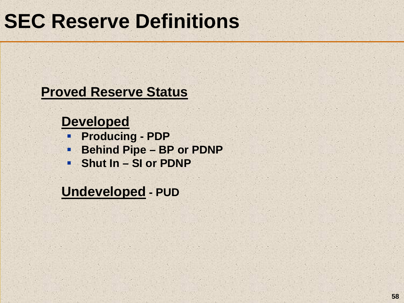#### **Proved Reserve Status**

#### **Developed**

- **Producing - PDP**
- $\blacksquare$ **Behind Pipe – BP or PDNP**
- **F** Shut In SI or PDNP

**Undeveloped - PUD**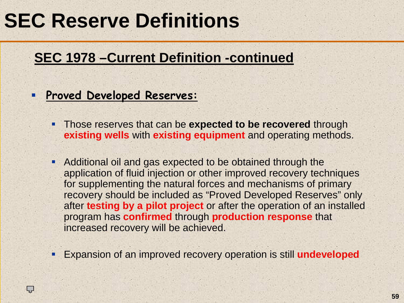### **SEC 1978 –Current Definition -continued**

п **Proved Developed Reserves:**

Ç

- ٠ Those reserves that can be **expected to be recovered** through **existing wells** with **existing equipment** and operating methods.
- Additional oil and gas expected to be obtained through the application of fluid injection or other improved recovery techniques for supplementing the natural forces and mechanisms of primary recovery should be included as "Proved Developed Reserves" only after **testing by a pilot project** or after the operation of an installed program has **confirmed** through **production response** that increased recovery will be achieved.
- Expansion of an improved recovery operation is still **undeveloped**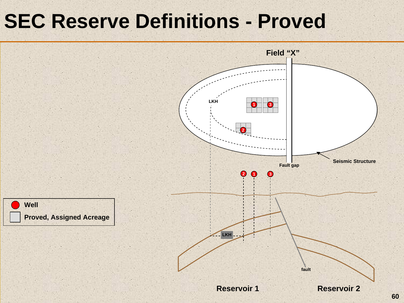### **SEC Reserve Definitions - Proved**

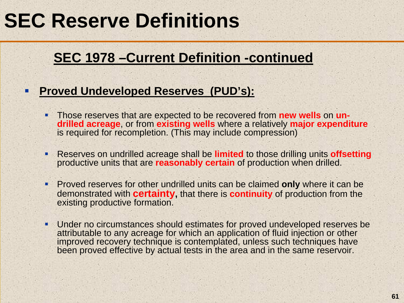#### **SEC 1978 –Current Definition -continued**

- I. **Proved Undeveloped Reserves (PUD's):**
	- Those reserves that are expected to be recovered from **new wells** on **undrilled acreage**, or from **existing wells** where a relatively **major expenditure** is required for recompletion. (This may include compression)
	- ٠ Reserves on undrilled acreage shall be **limited** to those drilling units **offsetting** productive units that are **reasonably certain** of production when drilled.
	- $\mathbf{R}$  Proved reserves for other undrilled units can be claimed **only** where it can be demonstrated with **certainty,** that there is **continuity** of production from the existing productive formation.
	- ٠ Under no circumstances should estimates for proved undeveloped reserves be attributable to any acreage for which an application of fluid injection or other improved recovery technique is contemplated, unless such techniques have been proved effective by actual tests in the area and in the same reservoir.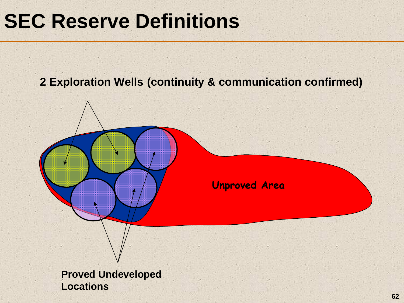#### **2 Exploration Wells (continuity & communication confirmed)**

**Unproved Area**

**Proved Undeveloped Locations**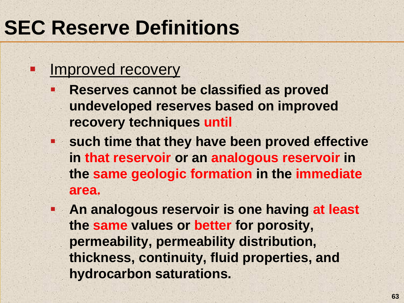#### Improved recovery

 $\blacksquare$ 

- h. **Reserves cannot be classified as proved undeveloped reserves based on improved recovery techniques until**
- **such time that they have been proved effective in that reservoir or an analogous reservoir in the same geologic formation in the immediate area.**
- $\mathbb{R}_{>0}$  **An analogous reservoir is one having at least the same values or better for porosity, permeability, permeability distribution, thickness, continuity, fluid properties, and hydrocarbon saturations.**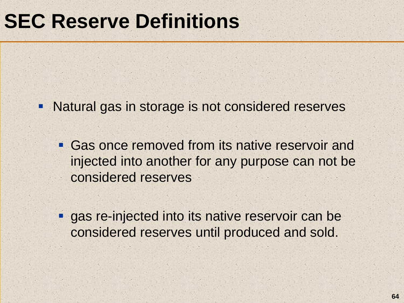- **Natural gas in storage is not considered reserves** 
	- **Gas once removed from its native reservoir and** injected into another for any purpose can not be considered reserves
	- **gas re-injected into its native reservoir can be** considered reserves until produced and sold.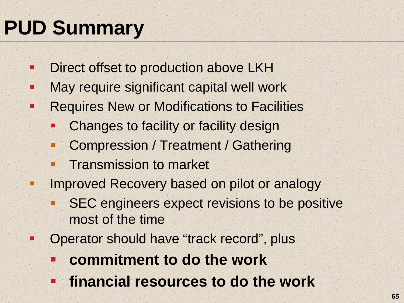# **PUD Summary**

 $\blacksquare$ 

- $\blacksquare$ Direct offset to production above LKH
- $\blacksquare$ May require significant capital well work
- ш Requires New or Modifications to Facilities
	- Changes to facility or facility design
	- Compression / Treatment / Gathering
	- п Transmission to market
	- Improved Recovery based on pilot or analogy
		- SEC engineers expect revisions to be positive most of the time
	- Operator should have "track record", plus
		- Ŧ **commitment to do the work**
		- **financial resources to do the work**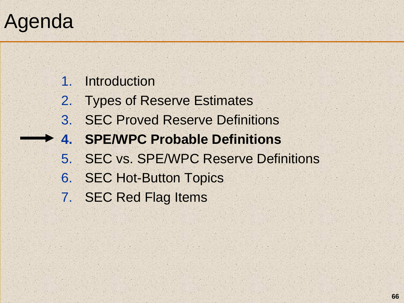### Agenda

1. Introduction

- 2. Types of Reserve Estimates
- 3. SEC Proved Reserve Definitions
- **4. SPE/WPC Probable Definitions**
	- 5. SEC vs. SPE/WPC Reserve Definitions
	- 6. SEC Hot-Button Topics
	- 7. SEC Red Flag Items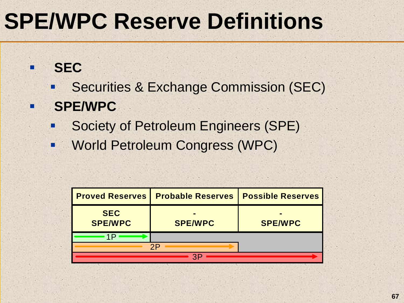### **SEC**

ñ

п

- þ. Securities & Exchange Commission (SEC)
- **SPE/WPC**
	- п Society of Petroleum Engineers (SPE)
	- $\blacksquare$ World Petroleum Congress (WPC)

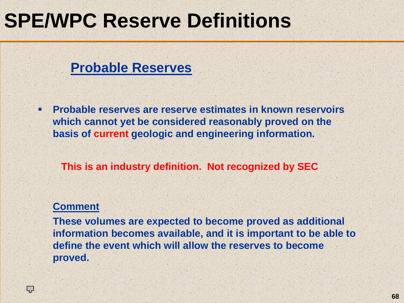#### **Probable Reserves**

٠ **Probable reserves are reserve estimates in known reservoirs which cannot yet be considered reasonably proved on the basis of current geologic and engineering information.** 

**This is an industry definition. Not recognized by SEC**

#### **Comment**

Ç

**These volumes are expected to become proved as additional information becomes available, and it is important to be able to define the event which will allow the reserves to become proved.**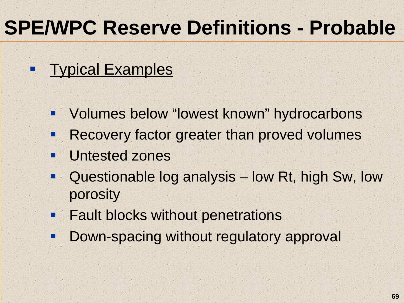# **SPE/WPC Reserve Definitions - Probable**

### **Typical Examples**

- **Volumes below "lowest known" hydrocarbons**
- п Recovery factor greater than proved volumes
- п Untested zones
- $\blacksquare$  Questionable log analysis – low Rt, high Sw, low porosity
- **Fault blocks without penetrations**
- **Service Service** Down-spacing without regulatory approval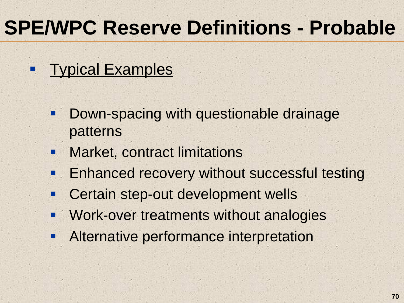# **SPE/WPC Reserve Definitions - Probable**

#### $\blacksquare$ Typical Examples

- $\blacksquare$  Down-spacing with questionable drainage patterns
- $\blacksquare$ Market, contract limitations
- Enhanced recovery without successful testing
- $\blacksquare$ Certain step-out development wells
- **Service Service** Work-over treatments without analogies
- **Service Service** Alternative performance interpretation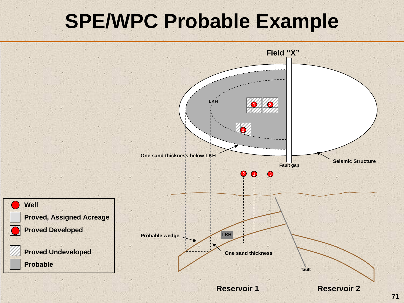### **SPE/WPC Probable Example**

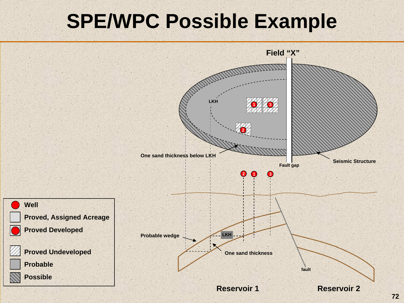### **SPE/WPC Possible Example**

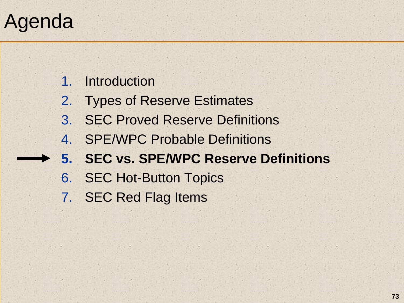# Agenda

1. Introduction

- 2. Types of Reserve Estimates
- 3. SEC Proved Reserve Definitions
- 4. SPE/WPC Probable Definitions
- **5. SEC vs. SPE/WPC Reserve Definitions**
- 6. SEC Hot-Button Topics
- 7. SEC Red Flag Items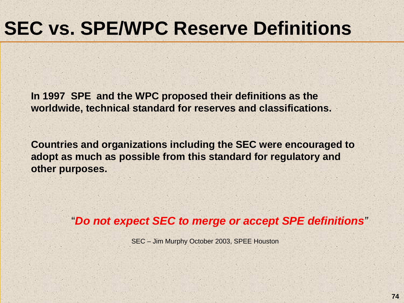# **SEC vs. SPE/WPC Reserve Definitions**

**In 1997 SPE and the WPC proposed their definitions as the worldwide, technical standard for reserves and classifications.**

**Countries and organizations including the SEC were encouraged to adopt as much as possible from this standard for regulatory and other purposes.**

"*Do not expect SEC to merge or accept SPE definitions "*

SEC – Jim Murphy October 2003, SPEE Houston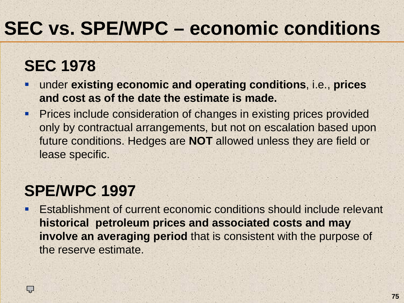# **SEC vs. SPE/WPC – economic conditions**

### **SEC 1978**

- П under **existing economic and operating conditions**, i.e., **prices and cost as of the date the estimate is made.**
- **Prices include consideration of changes in existing prices provided** only by contractual arrangements, but not on escalation based upon future conditions. Hedges are **NOT** allowed unless they are field or lease specific.

### **SPE/WPC 1997**

Ç

I. Establishment of current economic conditions should include relevant **historical petroleum prices and associated costs and may involve an averaging period** that is consistent with the purpose of the reserve estimate.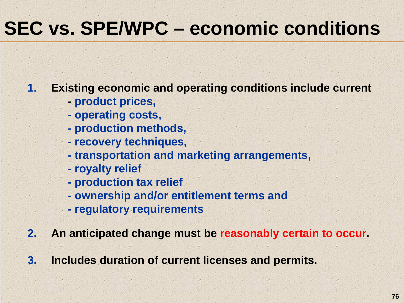# **SEC vs. SPE/WPC – economic conditions**

**1.Existing economic and operating conditions include current** 

- **- product prices,**
- **- operating costs,**
- **- production methods,**
- **- recovery techniques,**
- **- transportation and marketing arrangements,**
- **- royalty relief**
- **- production tax relief**
- **- ownership and/or entitlement terms and**
- **- regulatory requirements**
- **2.An anticipated change must be reasonably certain to occur.**
- **3. Includes duration of current licenses and permits.**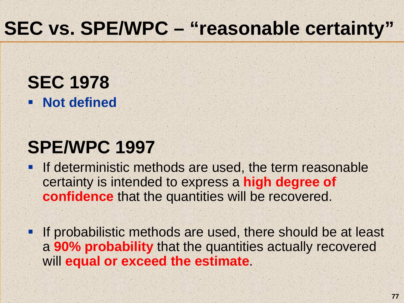## **SEC vs. SPE/WPC – "reasonable certainty"**

**SEC 1978 Not defined** 

### **SPE/WPC 1997**

- **If deterministic methods are used, the term reasonable** certainty is intended to express a **high degree of confidence** that the quantities will be recovered.
- **If probabilistic methods are used, there should be at least** <sup>a</sup>**90% probability** that the quantities actually recovered will **equal or exceed the estimate**.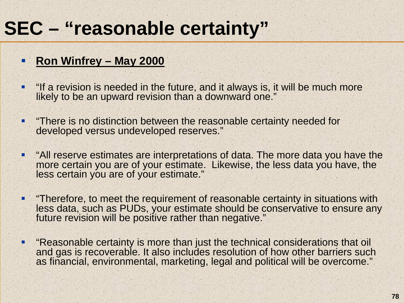## **SEC – "reasonable certainty"**

#### I. **Ron Winfrey – May 2000**

- ٠ "If a revision is needed in the future, and it always is, it will be much more likely to be an upward revision than a downward one."
- ٠ "There is no distinction between the reasonable certainty needed for developed versus undeveloped reserves."
- ш "All reserve estimates are interpretations of data. The more data you have the more certain you are of your estimate. Likewise, the less data you have, the less certain you are of your estimate."
- П "Therefore, to meet the requirement of reasonable certainty in situations with less data, such as PUDs, your estimate should be conservative to ensure any future revision will be positive rather than negative."
- . "Reasonable certainty is more than just the technical considerations that oil and gas is recoverable. It also includes resolution of how other barriers such as financial, environmental, marketing, legal and political will be overcome."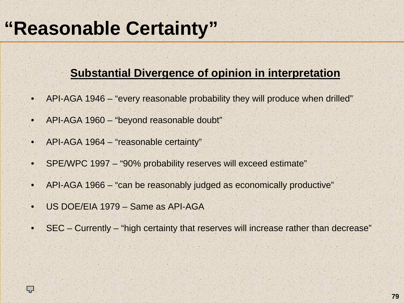## **"Reasonable Certainty"**

#### **Substantial Divergence of opinion in interpretation**

- •API-AGA 1946 – "every reasonable probability they will produce when drilled"
- •API-AGA 1960 – "beyond reasonable doubt"
- •API-AGA 1964 – "reasonable certainty"
- •SPE/WPC 1997 – "90% probability reserves will exceed estimate"
- •API-AGA 1966 – "can be reasonably judged as economically productive"
- •US DOE/EIA 1979 – Same as API-AGA

ĻĻ

•SEC – Currently – "high certainty that reserves will increase rather than decrease"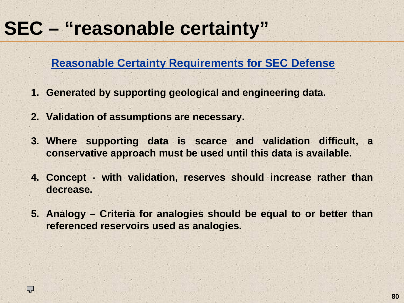## **SEC – "reasonable certainty"**

#### **Reasonable Certainty Requirements for SEC Defense**

- **1. Generated by supporting geological and engineering data.**
- **2. Validation of assumptions are necessary.**

Ç

- **3. Where supporting data is scarce and validation difficult, a conservative approach must be used until this data is available.**
- **4. Concept - with validation, reserves should increase rather than decrease.**
- **5. Analogy – Criteria for analogies should be equal to or better than referenced reservoirs used as analogies.**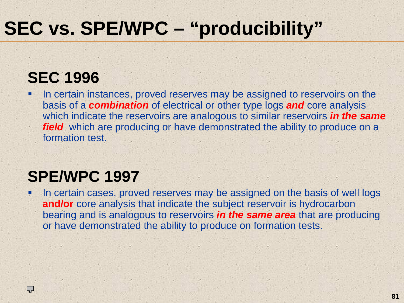# **SEC vs. SPE/WPC – "producibility"**

### **SEC 1996**

L<br>1

П In certain instances, proved reserves may be assigned to reservoirs on the basis of a *combination* of electrical or other type logs *and* core analysis which indicate the reservoirs are analogous to similar reservoirs *in the same field* which are producing or have demonstrated the ability to produce on a formation test.

### **SPE/WPC 1997**

П In certain cases, proved reserves may be assigned on the basis of well logs **and/or** core analysis that indicate the subject reservoir is hydrocarbon bearing and is analogous to reservoirs *in the same area* that are producing or have demonstrated the ability to produce on formation tests.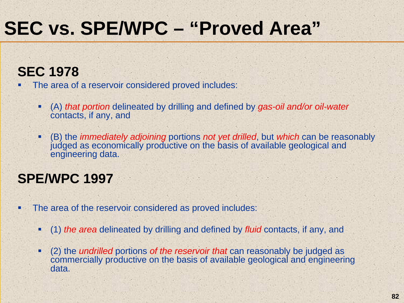### **SEC 1978**

- Г The area of a reservoir considered proved includes:
	- (A) *that portion* delineated by drilling and defined by *gas-oil and/or oil-water* contacts, if any, and
	- (B) the *immediately adjoining* portions *not yet drilled*, but *which* can be reasonably judged as economically productive on the basis of available geological and engineering data.

#### **SPE/WPC 1997**

- п The area of the reservoir considered as proved includes:
	- (1) *the area* delineated by drilling and defined by *fluid* contacts, if any, and
	- в. (2) the *undrilled* portions *of the reservoir that* can reasonably be judged as commercially productive on the basis of available geological and engineering data.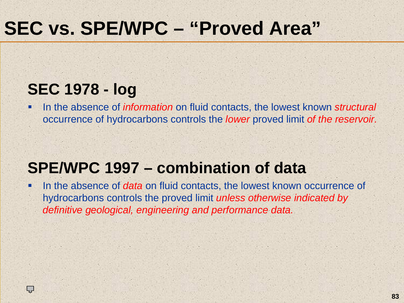### **SEC 1978 - log**

٠ In the absence of *information* on fluid contacts, the lowest known *structural* occurrence of hydrocarbons controls the *lower* proved limit *of the reservoir.*

### **SPE/WPC 1997 – combination of data**

٠ In the absence of *data* on fluid contacts, the lowest known occurrence of hydrocarbons controls the proved limit *unless otherwise indicated by definitive geological, engineering and performance data.*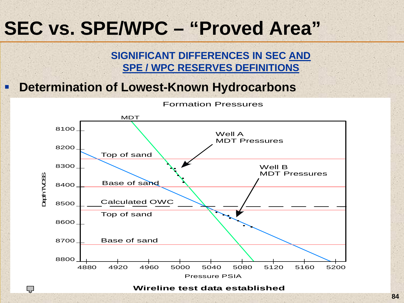#### **SIGNIFICANT DIFFERENCES IN SEC AND SPE / WPC RESERVES DEFINITIONS**

#### **Determination of Lowest-Known Hydrocarbons**

Ç



Formation Pressures

**Wireline test data established**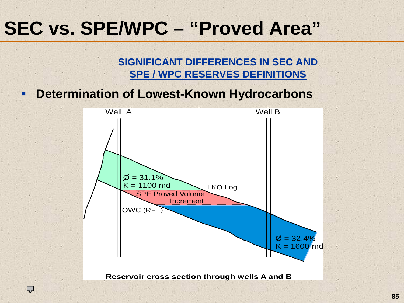**SIGNIFICANT DIFFERENCES IN SEC ANDSPE / WPC RESERVES DEFINITIONS**

■ **Determination of Lowest-Known Hydrocarbons**

Ļ,

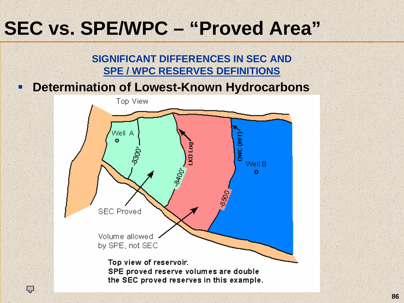#### **SIGNIFICANT DIFFERENCES IN SEC ANDSPE / WPC RESERVES DEFINITIONS**

#### Ξ **Determination of Lowest-Known Hydrocarbons**



ĻĻ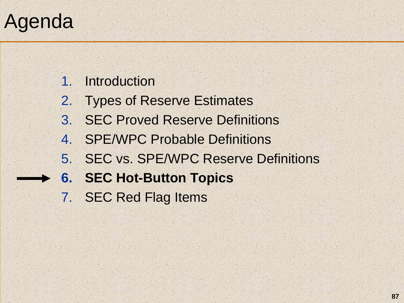# Agenda

1. Introduction

- 2. Types of Reserve Estimates
- 3. SEC Proved Reserve Definitions
- 4. SPE/WPC Probable Definitions
- 5. SEC vs. SPE/WPC Reserve Definitions
- **6. SEC Hot-Button Topics** 
	- 7. SEC Red Flag Items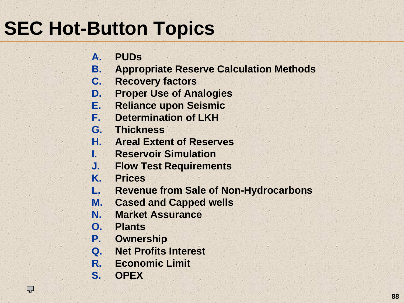# **SEC Hot-Button Topics**

- **A.PUDs**
- **B.Appropriate Reserve Calculation Methods**
- **C. Recovery factors**
- **D.Proper Use of Analogies**
- **E.Reliance upon Seismic**
- **F.Determination of LKH**
- **G. Thickness**
- **H. Areal Extent of Reserves**
- **I. Reservoir Simulation**
- **J. Flow Test Requirements**
- **K.Prices**
- **L.Revenue from Sale of Non-Hydrocarbons**
- **M.Cased and Capped wells**
- **N.Market Assurance**
- **O. Plants**
- **P.Ownership**
- **Q. Net Profits Interest**
- **R. Economic Limit**
- **S. OPEX**

Ç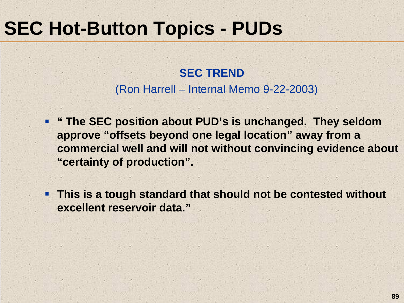I.

#### **SEC TREND**(Ron Harrell – Internal Memo 9-22-2003)

- **" The SEC position about PUD's is unchanged. They seldom approve "offsets beyond one legal location" away from a commercial well and will not without convincing evidence about "certainty of production".**
- **This is a tough standard that should not be contested without excellent reservoir data."**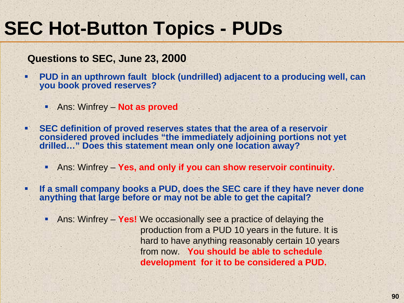#### **Questions to SEC, June 23, 2000**

- . **PUD in an upthrown fault block (undrilled) adjacent to a producing well, can you book proved reserves?**
	- Ans: Winfrey **Not as proved**
- **SEC definition of proved reserves states that the area of a reservoir considered proved includes "the immediately adjoining portions not yet drilled…" Does this statement mean only one location away?**
	- . Ans: Winfrey – **Yes, and only if you can show reservoir continuity.**
- Г **If a small company books a PUD, does the SEC care if they have never done anything that large before or may not be able to get the capital?**
	- ٠ Ans: Winfrey – **Yes!** We occasionally see a practice of delaying the production from a PUD 10 years in the future. It is hard to have anything reasonably certain 10 years from now. **You should be able to schedule development for it to be considered a PUD.**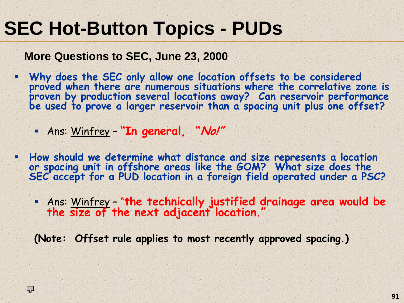**More Questions to SEC, June 23, 2000**

- . Why does the SEC only allow one location offsets to be considered<br>proved when there are numerous situations where the correlative zone is proven by production several locations away? Can reservoir performance<br>be used to prove a larger reservoir than a spacing unit plus one offset?
	- Ans: Winfrey **"In general, "No!"**

Ç

- П **How should we determine what distance and size represents a location or spacing unit in offshore areas like the GOM? What size does the SEC accept for a PUD location in a foreign field operated under a PSC?**
	- Ans: Winfrey "**the technically justified drainage area would be the size of the next adjacent location."**

**(Note: Offset rule applies to most recently approved spacing.)**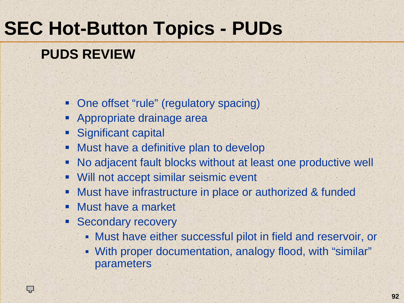### **PUDS REVIEW**

- **-** One offset "rule" (regulatory spacing)
- I. Appropriate drainage area
- I. Significant capital
- $\blacksquare$ Must have a definitive plan to develop
- ш No adjacent fault blocks without at least one productive well
- Will not accept similar seismic event
- п Must have infrastructure in place or authorized & funded
- п Must have a market
- Secondary recovery

Ļ,

- Must have either successful pilot in field and reservoir, or
- With proper documentation, analogy flood, with "similar" parameters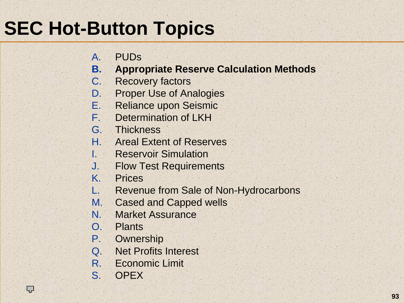# **SEC Hot-Button Topics**

- $A<sub>1</sub>$ PUDs
- **B.Appropriate Reserve Calculation Methods**
- C. Recovery factors
- D.Proper Use of Analogies
- E.Reliance upon Seismic
- F.Determination of LKH
- G. Thickness
- H. Areal Extent of Reserves
- I. Reservoir Simulation
- J. Flow Test Requirements
- K.Prices
- L.Revenue from Sale of Non-Hydrocarbons
- M.Cased and Capped wells
- N.Market Assurance
- O. Plants
- P.**Ownership**
- Q. Net Profits Interest
- R. Economic Limit
- S. OPEX

Ç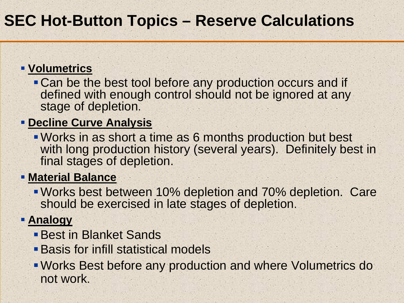### **SEC Hot-Button Topics – Reserve Calculations**

#### **Volumetrics**

**Can be the best tool before any production occurs and if** defined with enough control should not be ignored at any stage of depletion.

#### **PECLINE Curve Analysis**

Works in as short a time as 6 months production but best with long production history (several years). Definitely best in final stages of depletion.

#### **Material Balance**

Works best between 10% depletion and 70% depletion. Care should be exercised in late stages of depletion.

#### **<u>Analogy</u>**

- **Best in Blanket Sands**
- Basis for infill statistical models
- Works Best before any production and where Volumetrics do not work.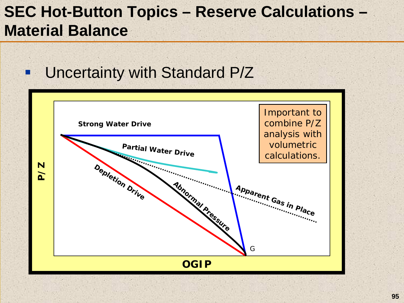### **SEC Hot-Button Topics – Reserve Calculations – Material Balance**

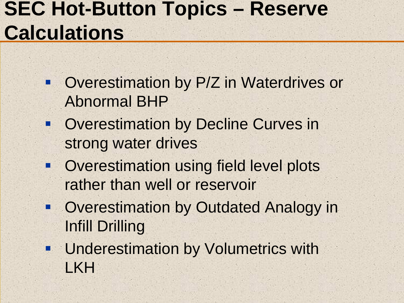# **SEC Hot-Button Topics – Reserve Calculations**

- $\blacksquare$  Overestimation by P/Z in Waterdrives or Abnormal BHP
- **Overestimation by Decline Curves in** strong water drives
- **Overestimation using field level plots** rather than well or reservoir
- **Overestimation by Outdated Analogy in** Infill Drilling
- **Underestimation by Volumetrics with** LKH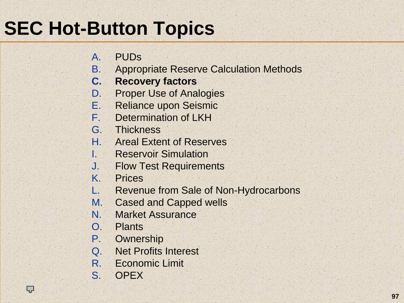# **SEC Hot-Button Topics**

- $A<sub>1</sub>$ PUDs
- B.Appropriate Reserve Calculation Methods
- **C. Recovery factors**
- D.Proper Use of Analogies
- E.Reliance upon Seismic
- F.Determination of LKH
- G. Thickness
- H. Areal Extent of Reserves
- I. Reservoir Simulation
- J. Flow Test Requirements
- K.Prices
- L.Revenue from Sale of Non-Hydrocarbons
- M.Cased and Capped wells
- N.Market Assurance
- O. Plants
- P.**Ownership**
- Q. Net Profits Interest
- R. Economic Limit
- S. OPEX

Ç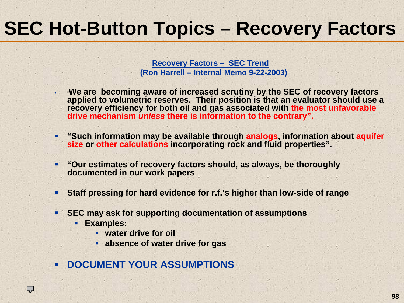# **SEC Hot-Button Topics – Recovery Factors**

**Recovery Factors – SEC Trend (Ron Harrell – Internal Memo 9-22-2003)**

- ٠ "**We are becoming aware of increased scrutiny by the SEC of recovery factors applied to volumetric reserves. Their position is that an evaluator should use a recovery efficiency for both oil and gas associated with the most unfavorable drive mechanism** *unless* **there is information to the contrary".**
- ٠ **"Such information may be available through analogs, information about aquifer size or other calculations incorporating rock and fluid properties".**
- ٠ **"Our estimates of recovery factors should, as always, be thoroughly documented in our work papers**
- ۰ **Staff pressing for hard evidence for r.f.'s higher than low-side of range**
- **SEC may ask for supporting documentation of assumptions**
	- **Examples:**

Ç

- **water drive for oil**
- **absence of water drive for gas**
- **EXAMPLE DOCUMENT YOUR ASSUMPTIONS**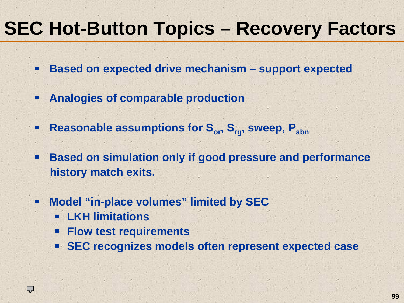# **SEC Hot-Button Topics – Recovery Factors**

- П **Based on expected drive mechanism – support expected**
- $\blacksquare$ **Analogies of comparable production**
- $\blacksquare$ Reasonable assumptions for S<sub>or</sub>, S<sub>rg</sub>, sweep, P<sub>abn</sub>
- п **Based on simulation only if good pressure and performance history match exits.**
- п **Model "in-place volumes" limited by SEC**
	- **LKH limitations**

Ļ,

- **Flow test requirements**
- **SEC recognizes models often represent expected case**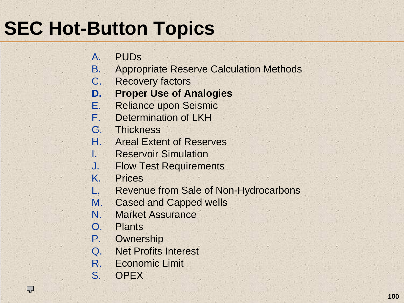# **SEC Hot-Button Topics**

- $A<sub>1</sub>$ PUDs
- B.Appropriate Reserve Calculation Methods
- C. Recovery factors
- **D.Proper Use of Analogies**
- E.Reliance upon Seismic
- F.Determination of LKH
- G. Thickness
- H. Areal Extent of Reserves
- I. Reservoir Simulation
- J. Flow Test Requirements
- K.Prices
- L.Revenue from Sale of Non-Hydrocarbons
- M.Cased and Capped wells
- N.Market Assurance
- O. Plants
- P.**Ownership**
- Q. Net Profits Interest
- R. Economic Limit
- S. OPEX

Ç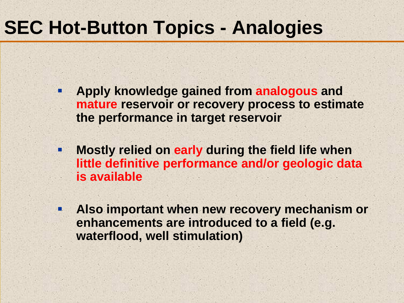### **SEC Hot-Button Topics - Analogies**

Ξ

Ξ

- **Apply knowledge gained from analogous and mature reservoir or recovery process to estimate the performance in target reservoir**
	- **Mostly relied on early during the field life when little definitive performance and/or geologic data is available**
- **D Also important when new recovery mechanism or enhancements are introduced to a field (e.g. waterflood, well stimulation)**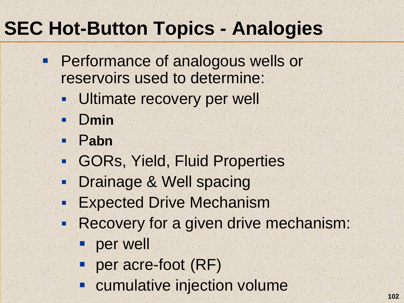# **SEC Hot-Button Topics - Analogies**

- **Performance of analogous wells or** reservoirs used to determine:
	- п Ultimate recovery per well
	- $\blacksquare$ D**min**
	- $\blacksquare$ P**abn**
	- $\blacksquare$ GORs, Yield, Fluid Properties
	- $\blacksquare$ Drainage & Well spacing
	- $\blacksquare$ Expected Drive Mechanism
	- $\blacksquare$  Recovery for a given drive mechanism:
		- per well
		- **Per acre-foot (RF)**
		- **Exampled injection volume**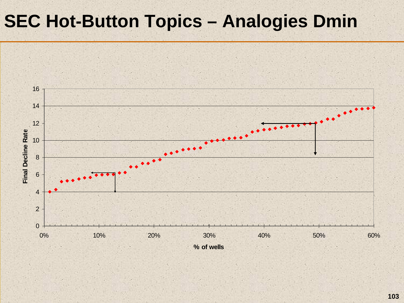### **SEC Hot-Button Topics – Analogies Dmin**

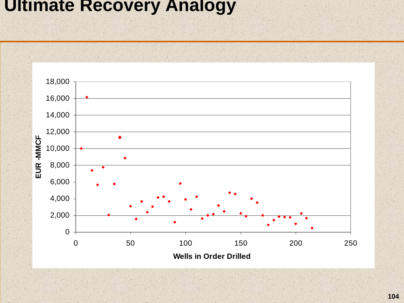#### **Ultimate Recovery Analogy**

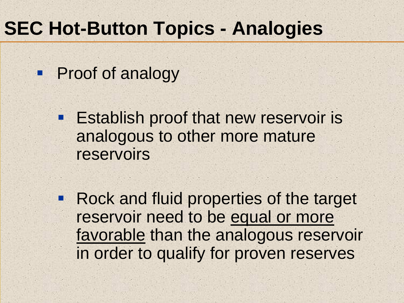## **SEC Hot-Button Topics - Analogies**

**Proof of analogy** 

 $\blacksquare$ 

**Establish proof that new reservoir is** analogous to other more mature reservoirs

 Rock and fluid properties of the target reservoir need to be equal or more favorable than the analogous reservoir in order to qualify for proven reserves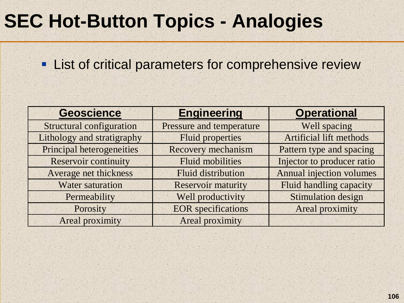## **SEC Hot-Button Topics - Analogies**

**Example 13 Fig. 2** List of critical parameters for comprehensive review

| <b>Geoscience</b>                | <b>Engineering</b>        | <b>Operational</b>              |
|----------------------------------|---------------------------|---------------------------------|
| <b>Structural configuration</b>  | Pressure and temperature  | Well spacing                    |
| Lithology and stratigraphy       | <b>Fluid properties</b>   | <b>Artificial lift methods</b>  |
| <b>Principal heterogeneities</b> | <b>Recovery mechanism</b> | Pattern type and spacing        |
| <b>Reservoir continuity</b>      | <b>Fluid mobilities</b>   | Injector to producer ratio      |
| Average net thickness            | <b>Fluid distribution</b> | <b>Annual injection volumes</b> |
| <b>Water saturation</b>          | <b>Reservoir maturity</b> | <b>Fluid handling capacity</b>  |
| Permeability                     | Well productivity         | <b>Stimulation design</b>       |
| Porosity                         | <b>EOR</b> specifications | Areal proximity                 |
| <b>Areal proximity</b>           | Areal proximity           |                                 |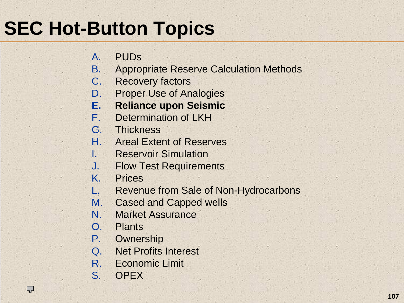# **SEC Hot-Button Topics**

- $A<sub>1</sub>$ PUDs
- B.Appropriate Reserve Calculation Methods
- C. Recovery factors
- D.Proper Use of Analogies
- **E.Reliance upon Seismic**
- F.Determination of LKH
- G. Thickness
- H. Areal Extent of Reserves
- I. Reservoir Simulation
- J. Flow Test Requirements
- K.Prices
- L.Revenue from Sale of Non-Hydrocarbons
- M.Cased and Capped wells
- N.Market Assurance
- O. Plants
- P.**Ownership**
- Q. Net Profits Interest
- R. Economic Limit
- S. OPEX

Ç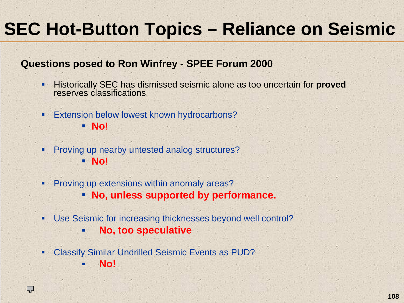## **SEC Hot-Button Topics – Reliance on Seismic**

#### **Questions posed to Ron Winfrey - SPEE Forum 2000**

- $\blacksquare$  Historically SEC has dismissed seismic alone as too uncertain for **proved** reserves classifications
- $\blacksquare$  Extension below lowest known hydrocarbons? **No**!
- L Proving up nearby untested analog structures? **No**!
- $\blacksquare$  Proving up extensions within anomaly areas?
	- **No, unless supported by performance.**
- ٠ Use Seismic for increasing thicknesses beyond well control?
	- н **No, too speculative**
- ٠ Classify Similar Undrilled Seismic Events as PUD?

ĻĻ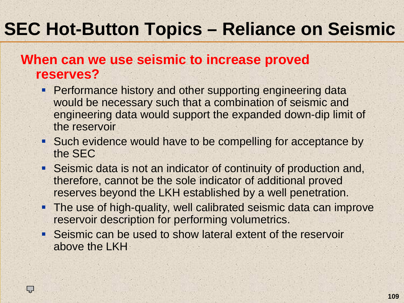### **SEC Hot-Button Topics – Reliance on Seismic**

#### **When can we use seismic to increase proved reserves?**

- **Performance history and other supporting engineering data** would be necessary such that a combination of seismic and engineering data would support the expanded down-dip limit of the reservoir
- **Such evidence would have to be compelling for acceptance by** the SEC
- Seismic data is not an indicator of continuity of production and, therefore, cannot be the sole indicator of additional proved reserves beyond the LKH established by a well penetration.
- The use of high-quality, well calibrated seismic data can improve reservoir description for performing volumetrics.
- Seismic can be used to show lateral extent of the reservoir above the LKH

ĻĻ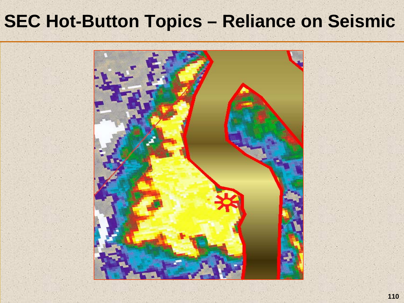#### **SEC Hot-Button Topics – Reliance on Seismic**

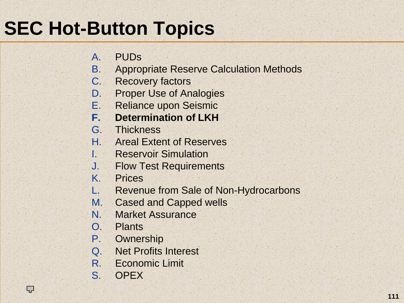- $A<sub>1</sub>$ PUDs
- B.Appropriate Reserve Calculation Methods
- C. Recovery factors
- D.Proper Use of Analogies
- E.Reliance upon Seismic
- **F.Determination of LKH**
- G. Thickness
- H. Areal Extent of Reserves
- I. Reservoir Simulation
- J. Flow Test Requirements
- K.Prices
- L.Revenue from Sale of Non-Hydrocarbons
- M.Cased and Capped wells
- N.Market Assurance
- O. Plants
- P.**Ownership**
- Q. Net Profits Interest
- R. Economic Limit
- S. OPEX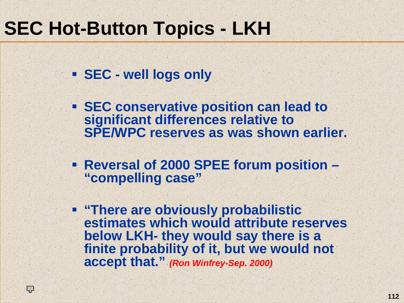### **SEC Hot-Button Topics - LKH**

**SEC - well logs only**

Ļ,

 **SEC conservative position can lead to significant differences relative to SPE/WPC reserves as was shown earlier.**

 **Reversal of 2000 SPEE forum position – "compelling case"**

 **"There are obviously probabilistic estimates which would attribute reserves below LKH- they would say there is a finite probability of it, but we would not accept that."** *(Ron Winfrey-Sep. 2000)*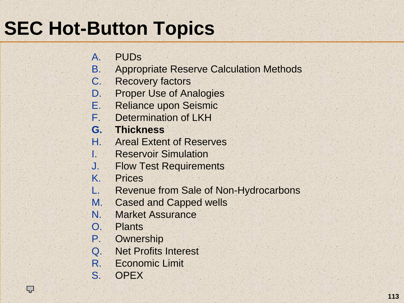- $A<sub>1</sub>$ PUDs
- B.Appropriate Reserve Calculation Methods
- C. Recovery factors
- D.Proper Use of Analogies
- E.Reliance upon Seismic
- F.Determination of LKH
- **G. Thickness**
- H. Areal Extent of Reserves
- I. Reservoir Simulation
- J. Flow Test Requirements
- K.Prices
- L.Revenue from Sale of Non-Hydrocarbons
- M.Cased and Capped wells
- N.Market Assurance
- O. Plants
- P.**Ownership**
- Q. Net Profits Interest
- R. Economic Limit
- S. OPEX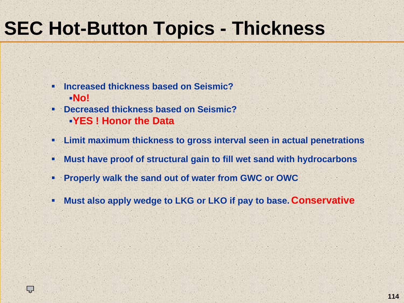## **SEC Hot-Button Topics - Thickness**

- п **Increased thickness based on Seismic?No!**
- **Decreased thickness based on Seismic?YES ! Honor the Data**

- ٠ **Limit maximum thickness to gross interval seen in actual penetrations**
- ٠ **Must have proof of structural gain to fill wet sand with hydrocarbons**
- ۰. **Properly walk the sand out of water from GWC or OWC**
- ٠ **Must also apply wedge to LKG or LKO if pay to base. Conservative**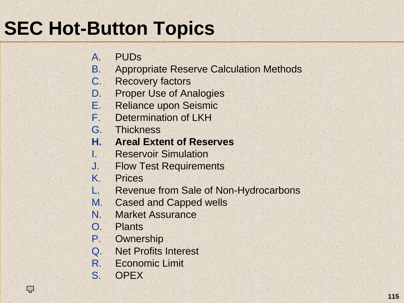- $A<sub>1</sub>$ PUDs
- B.Appropriate Reserve Calculation Methods
- C. Recovery factors
- D.Proper Use of Analogies
- E.Reliance upon Seismic
- F.Determination of LKH
- G. Thickness
- **H. Areal Extent of Reserves**
- I. Reservoir Simulation
- J. Flow Test Requirements
- K.Prices
- L.Revenue from Sale of Non-Hydrocarbons
- M.Cased and Capped wells
- N.Market Assurance
- O. Plants
- P.**Ownership**
- Q. Net Profits Interest
- R. Economic Limit
- S. OPEX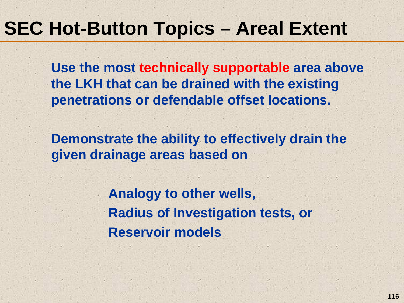### **SEC Hot-Button Topics – Areal Extent**

**Use the most technically supportable area above the LKH that can be drained with the existing penetrations or defendable offset locations.** 

**Demonstrate the ability to effectively drain the given drainage areas based on** 

> **Analogy to other wells, Radius of Investigation tests, or Reservoir models**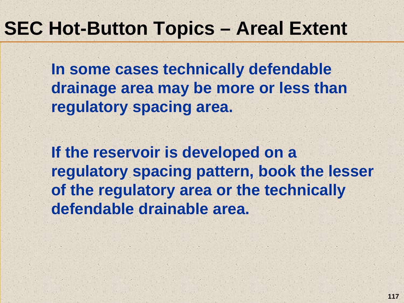#### **SEC Hot-Button Topics – Areal Extent**

**In some cases technically defendable drainage area may be more or less than regulatory spacing area.** 

**If the reservoir is developed on a regulatory spacing pattern, book the lesser of the regulatory area or the technically defendable drainable area.**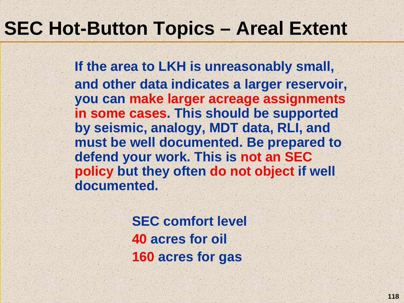### **SEC Hot-Button Topics – Areal Extent**

**If the area to LKH is unreasonably small, and other data indicates a larger reservoir, you can make larger acreage assignments in some cases. This should be supported by seismic, analogy, MDT data, RLI, and must be well documented. Be prepared to defend your work. This is not an SEC policy but they often do not object if well documented.**

> **SEC comfort level 40 acres for oil 160 acres for gas**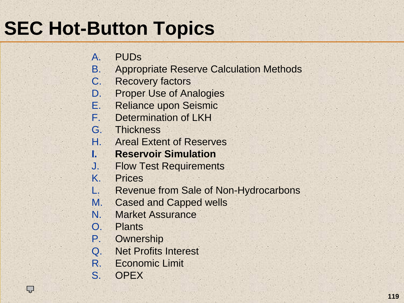- $A<sub>1</sub>$ PUDs
- B.Appropriate Reserve Calculation Methods
- C. Recovery factors
- D.Proper Use of Analogies
- E.Reliance upon Seismic
- F.Determination of LKH
- G. Thickness
- H. Areal Extent of Reserves
- **I. Reservoir Simulation**
- J. Flow Test Requirements
- K.Prices
- L.Revenue from Sale of Non-Hydrocarbons
- M.Cased and Capped wells
- N.Market Assurance
- O. Plants
- P.**Ownership**
- Q. Net Profits Interest
- R. Economic Limit
- S. OPEX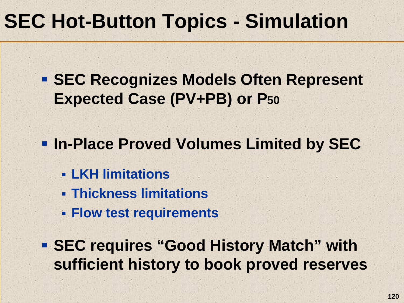## **SEC Hot-Button Topics - Simulation**

 **SEC Recognizes Models Often Represent Expected Case (PV+PB) or P50**

**In-Place Proved Volumes Limited by SEC**

- **LKH limitations**
- **Thickness limitations**
- **Flow test requirements**

 **SEC requires "Good History Match" with sufficient history to book proved reserves**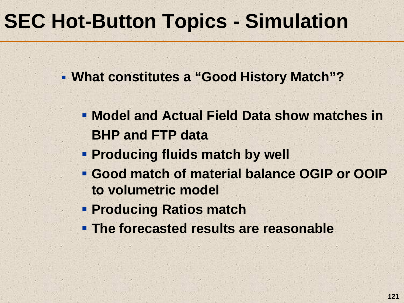## **SEC Hot-Button Topics - Simulation**

**What constitutes a "Good History Match"?**

- **Model and Actual Field Data show matches inBHP and FTP data**
- **Producing fluids match by well**
- **Good match of material balance OGIP or OOIP to volumetric model**
- **Producing Ratios match**
- **The forecasted results are reasonable**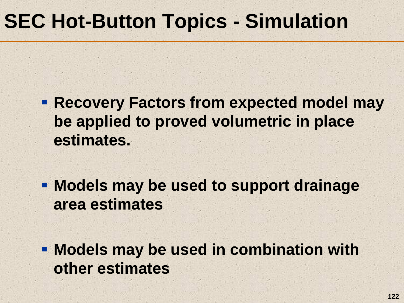## **SEC Hot-Button Topics - Simulation**

- **Recovery Factors from expected model may be applied to proved volumetric in place estimates.**
- **Models may be used to support drainage area estimates**
- **Models may be used in combination with other estimates**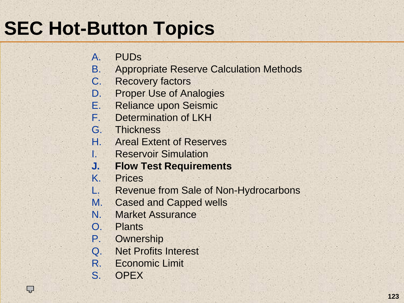- $A<sub>1</sub>$ PUDs
- B.Appropriate Reserve Calculation Methods
- C. Recovery factors
- D.Proper Use of Analogies
- E.Reliance upon Seismic
- F.Determination of LKH
- G. Thickness
- H. Areal Extent of Reserves
- I. Reservoir Simulation
- **J. Flow Test Requirements**
- K.Prices
- L.Revenue from Sale of Non-Hydrocarbons
- M.Cased and Capped wells
- N.Market Assurance
- O. Plants
- P.**Ownership**
- Q. Net Profits Interest
- R. Economic Limit
- S. OPEX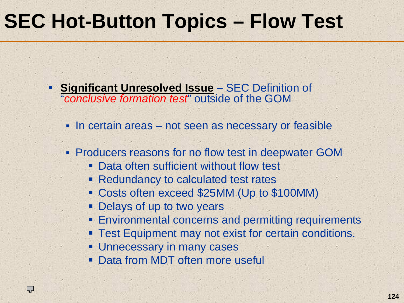## **SEC Hot-Button Topics – Flow Test**

**Significant Unresolved Issue – SEC Definition of** "*conclusive formation test*" outside of the GOM

- In certain areas not seen as necessary or feasible
- Producers reasons for no flow test in deepwater GOM
	- **Data often sufficient without flow test**
	- **Redundancy to calculated test rates**
	- Costs often exceed \$25MM (Up to \$100MM)
	- **Delays of up to two years**
	- **Environmental concerns and permitting requirements**
	- **Test Equipment may not exist for certain conditions.**
	- **Unnecessary in many cases**

Ç

**Data from MDT often more usefull**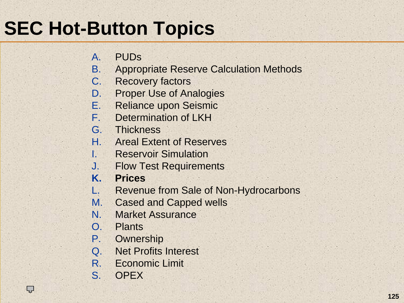- $A<sub>1</sub>$ PUDs
- B.Appropriate Reserve Calculation Methods
- C. Recovery factors
- D.Proper Use of Analogies
- E.Reliance upon Seismic
- F.Determination of LKH
- G. Thickness
- H. Areal Extent of Reserves
- I. Reservoir Simulation
- J. Flow Test Requirements
- **K.Prices**
- L.Revenue from Sale of Non-Hydrocarbons
- M.Cased and Capped wells
- N.Market Assurance
- O. Plants
- P.**Ownership**
- Q. Net Profits Interest
- R. Economic Limit
- S. OPEX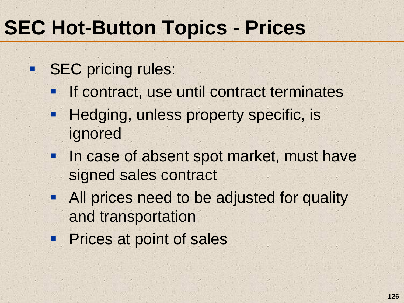# **SEC Hot-Button Topics - Prices**

- **SEC pricing rules:** 
	- $\blacksquare$ If contract, use until contract terminates
	- OB Hedging, unless property specific, is ignored
	- **ENG**  In case of absent spot market, must have signed sales contract
	- **All prices need to be adjusted for quality** and transportation
	- **Prices at point of sales**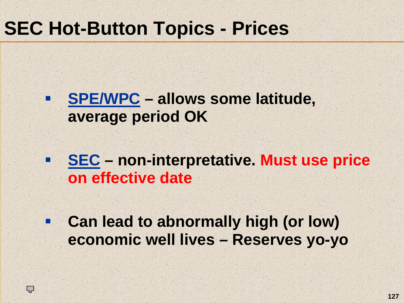### **SEC Hot-Button Topics - Prices**

■

#### **SPE/WPC – allows some latitude, average period OK**

 $\mathcal{L}_{\mathcal{A}}$  **SEC – non-interpretative. Must use price on effective date**

 $\mathcal{L}_{\mathcal{A}}$  **Can lead to abnormally high (or low) economic well lives – Reserves yo-yo**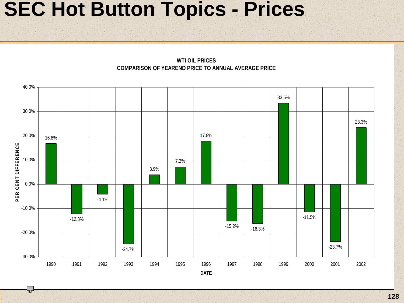#### **SEC Hot Button Topics - Prices**

ᇦ

**WTI OIL PRICES COMPARISON OF YEAREND PRICE TO ANNUAL AVERAGE PRICE**

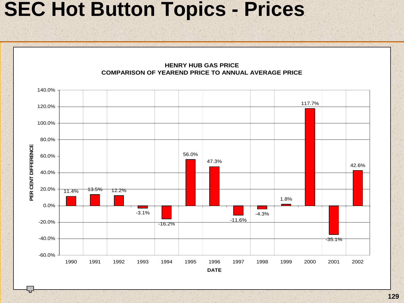#### **SEC Hot Button Topics - Prices**

**HENRY HUB GAS PRICECOMPARISON OF YEAREND PRICE TO ANNUAL AVERAGE PRICE**

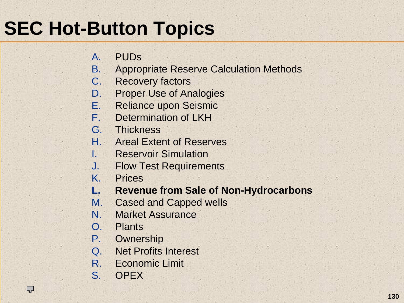- $A<sub>1</sub>$ PUDs
- B.Appropriate Reserve Calculation Methods
- C. Recovery factors
- D.Proper Use of Analogies
- E.Reliance upon Seismic
- F.Determination of LKH
- G. Thickness
- H. Areal Extent of Reserves
- I. Reservoir Simulation
- J. Flow Test Requirements
- K.Prices
- **L.Revenue from Sale of Non-Hydrocarbons**
- M.Cased and Capped wells
- N.Market Assurance
- O. Plants
- P.**Ownership**
- Q. Net Profits Interest
- R. Economic Limit
- S. OPEX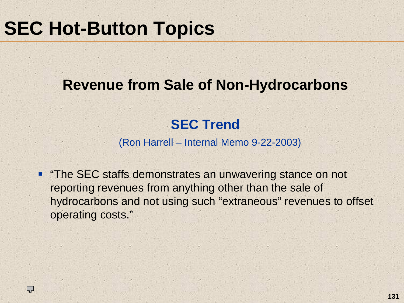L<br>1

#### **Revenue from Sale of Non-Hydrocarbons**

#### **SEC Trend**

(Ron Harrell – Internal Memo 9-22-2003)

П "The SEC staffs demonstrates an unwavering stance on not reporting revenues from anything other than the sale of hydrocarbons and not using such "extraneous" revenues to offset operating costs."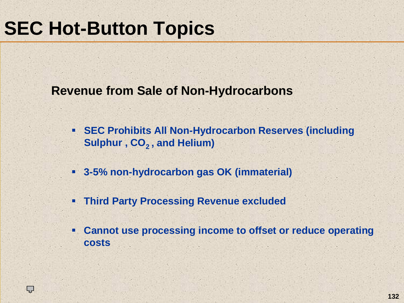ĻĻ

**Revenue from Sale of Non-Hydrocarbons**

- **SEC Prohibits All Non-Hydrocarbon Reserves (including Sulphur, CO<sub>2</sub>, and Helium)**
- **3-5% non-hydrocarbon gas OK (immaterial)**
- $\blacksquare$ **Third Party Processing Revenue excluded**
- ٠ **Cannot use processing income to offset or reduce operating costs**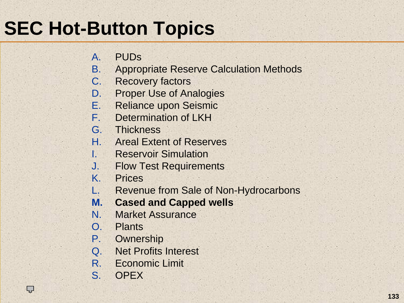- $A<sub>1</sub>$ PUDs
- B.Appropriate Reserve Calculation Methods
- C. Recovery factors
- D.Proper Use of Analogies
- E.Reliance upon Seismic
- F.Determination of LKH
- G. Thickness
- H. Areal Extent of Reserves
- I. Reservoir Simulation
- J. Flow Test Requirements
- K.Prices
- L.Revenue from Sale of Non-Hydrocarbons
- **M.Cased and Capped wells**
- N.Market Assurance
- O. Plants
- P.**Ownership**
- Q. Net Profits Interest
- R. Economic Limit
- S. OPEX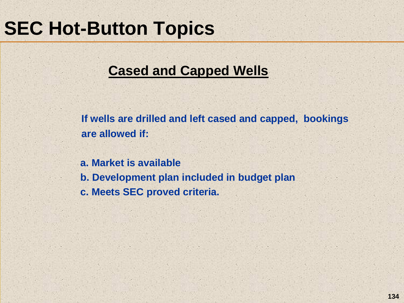#### **Cased and Capped Wells**

**If wells are drilled and left cased and capped, bookings are allowed if:**

**a. Market is availableb. Development plan included in budget plan c. Meets SEC proved criteria.**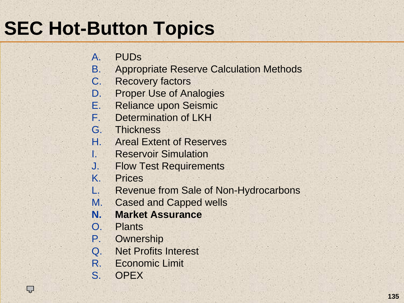- $A<sub>1</sub>$ PUDs
- B.Appropriate Reserve Calculation Methods
- C. Recovery factors
- D.Proper Use of Analogies
- E.Reliance upon Seismic
- F.Determination of LKH
- G. Thickness
- H. Areal Extent of Reserves
- I. Reservoir Simulation
- J. Flow Test Requirements
- K.Prices
- L.Revenue from Sale of Non-Hydrocarbons
- M.Cased and Capped wells
- **N.Market Assurance**
- O. Plants
- P.**Ownership**
- Q. Net Profits Interest
- R. Economic Limit
- S. OPEX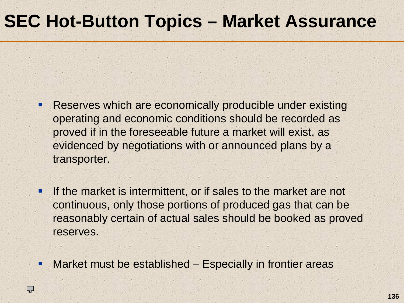#### **SEC Hot-Button Topics – Market Assurance**

- I. Reserves which are economically producible under existing operating and economic conditions should be recorded as proved if in the foreseeable future a market will exist, as evidenced by negotiations with or announced plans by a transporter.
- П If the market is intermittent, or if sales to the market are not continuous, only those portions of produced gas that can be reasonably certain of actual sales should be booked as proved reserves.
- П Market must be established – Especially in frontier areas

ĻĻ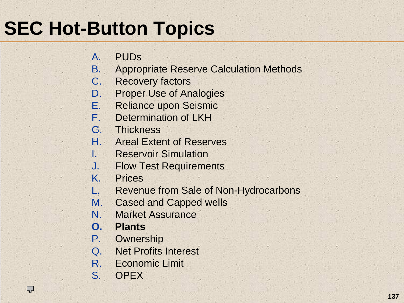- $A<sub>1</sub>$ PUDs
- B.Appropriate Reserve Calculation Methods
- C. Recovery factors
- D.Proper Use of Analogies
- E.Reliance upon Seismic
- F.Determination of LKH
- G. Thickness
- H. Areal Extent of Reserves
- I. Reservoir Simulation
- J. Flow Test Requirements
- K.Prices
- L.Revenue from Sale of Non-Hydrocarbons
- M.Cased and Capped wells
- N.Market Assurance
- **O. Plants**
- P.**Ownership**
- Q. Net Profits Interest
- R. Economic Limit
- S. OPEX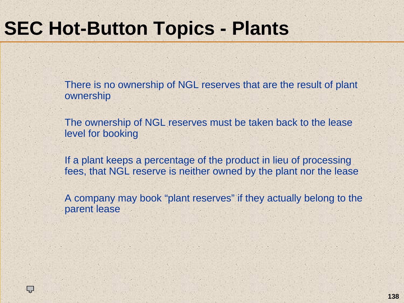## **SEC Hot-Button Topics - Plants**

Ç

There is no ownership of NGL reserves that are the result of plant ownership

The ownership of NGL reserves must be taken back to the lease level for booking

If a plant keeps a percentage of the product in lieu of processing fees, that NGL reserve is neither owned by the plant nor the lease

A company may book "plant reserves" if they actually belong to the parent lease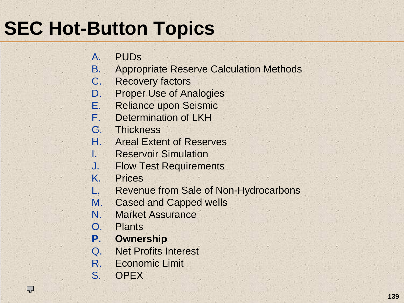- $A<sub>1</sub>$ PUDs
- B.Appropriate Reserve Calculation Methods
- C. Recovery factors
- D.Proper Use of Analogies
- E.Reliance upon Seismic
- F.Determination of LKH
- G. Thickness
- H. Areal Extent of Reserves
- I. Reservoir Simulation
- J. Flow Test Requirements
- K.Prices
- L.Revenue from Sale of Non-Hydrocarbons
- M.Cased and Capped wells
- N.Market Assurance
- O. Plants
- **P.Ownership**
- Q. Net Profits Interest
- R. Economic Limit
- S. OPEX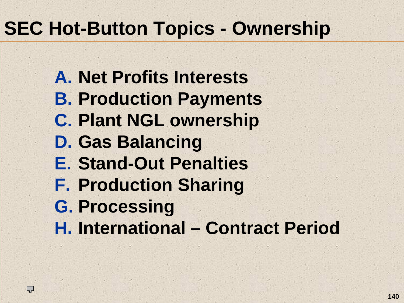## **SEC Hot-Button Topics - Ownership**

**A. Net Profits InterestsB. Production Payments C. Plant NGL ownership D. Gas Balancing E. Stand-Out Penalties F. Production Sharing G. Processing H. International – Contract Period**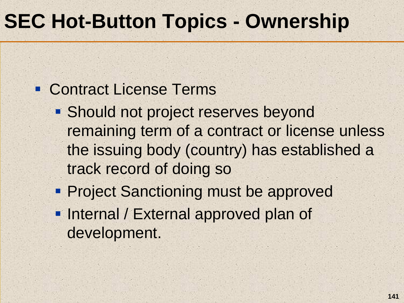## **SEC Hot-Button Topics - Ownership**

#### Contract License Terms

- **Should not project reserves beyond** remaining term of a contract or license unless the issuing body (country) has established a track record of doing so
- **Project Sanctioning must be approved**
- **Internal / External approved plan of** development.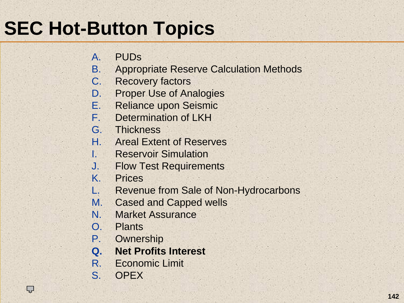- $A<sub>1</sub>$ PUDs
- B.Appropriate Reserve Calculation Methods
- C. Recovery factors
- D.Proper Use of Analogies
- E.Reliance upon Seismic
- F.Determination of LKH
- G. Thickness
- H. Areal Extent of Reserves
- I. Reservoir Simulation
- J. Flow Test Requirements
- K.Prices
- L.Revenue from Sale of Non-Hydrocarbons
- M.Cased and Capped wells
- N.Market Assurance
- O. Plants
- P.**Ownership**
- **Q. Net Profits Interest**
- R. Economic Limit
- S. OPEX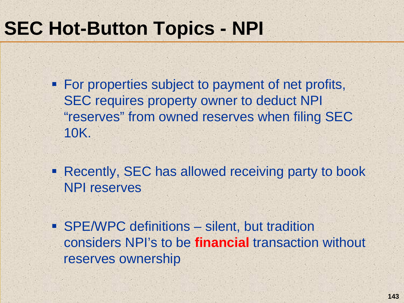## **SEC Hot-Button Topics - NPI**

- **For properties subject to payment of net profits,** SEC requires property owner to deduct NPI "reserves" from owned reserves when filing SEC 10K.
- **Recently, SEC has allowed receiving party to book** NPI reserves
- SPE/WPC definitions silent, but tradition considers NPI's to be **financial** transaction without reserves ownership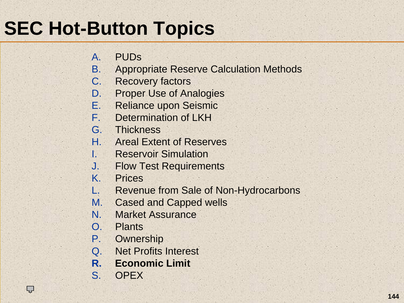- $A<sub>1</sub>$ PUDs
- B.Appropriate Reserve Calculation Methods
- C. Recovery factors
- D.Proper Use of Analogies
- E.Reliance upon Seismic
- F.Determination of LKH
- G. Thickness
- H. Areal Extent of Reserves
- I. Reservoir Simulation
- J. Flow Test Requirements
- K.Prices
- L.Revenue from Sale of Non-Hydrocarbons
- M.Cased and Capped wells
- N.Market Assurance
- O. Plants
- P.**Ownership**
- Q. Net Profits Interest
- **R.Economic Limit**
- S. OPEX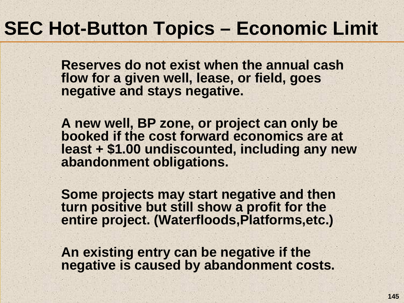## **SEC Hot-Button Topics – Economic Limit**

**Reserves do not exist when the annual cash flow for a given well, lease, or field, goes negative and stays negative.** 

**A new well, BP zone, or project can only be booked if the cost forward economics are at least + \$1.00 undiscounted, including any new abandonment obligations.**

**Some projects may start negative and then turn positive but still show a profit for the entire project. (Waterfloods,Platforms,etc.)**

**An existing entry can be negative if the negative is caused by abandonment costs.**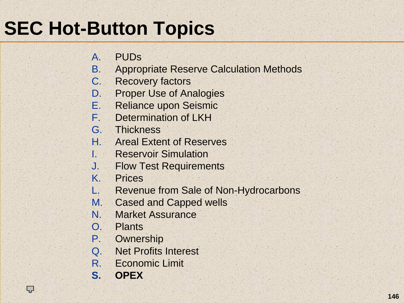# **SEC Hot-Button Topics**

- $A<sub>1</sub>$ PUDs
- B.Appropriate Reserve Calculation Methods
- C. Recovery factors
- D.Proper Use of Analogies
- E.Reliance upon Seismic
- F.Determination of LKH
- G. Thickness
- H. Areal Extent of Reserves
- I. Reservoir Simulation
- J. Flow Test Requirements
- K.Prices
- L.Revenue from Sale of Non-Hydrocarbons
- M.Cased and Capped wells
- N.Market Assurance
- O. Plants
- P.**Ownership**
- Q. Net Profits Interest
- R. Economic Limit
- **S. OPEX**

Ç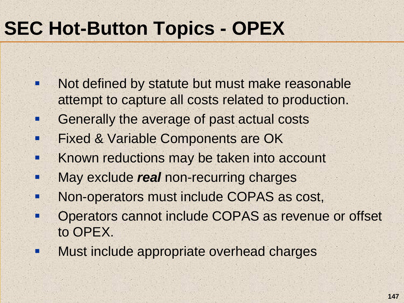# **SEC Hot-Button Topics - OPEX**

- п Not defined by statute but must make reasonable attempt to capture all costs related to production.
- F Generally the average of past actual costs
- п Fixed & Variable Components are OK
- п Known reductions may be taken into account
- п May exclude *real* non-recurring charges
- п Non-operators must include COPAS as cost,
- F Operators cannot include COPAS as revenue or offset to OPEX.
- $\blacksquare$ Must include appropriate overhead charges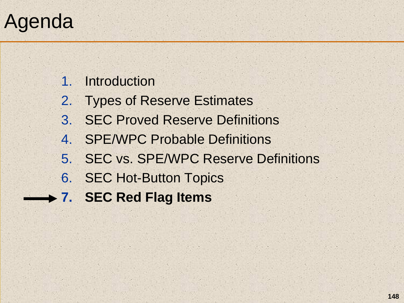# Agenda

1. Introduction

- 2. Types of Reserve Estimates
- 3. SEC Proved Reserve Definitions
- 4. SPE/WPC Probable Definitions
- 5. SEC vs. SPE/WPC Reserve Definitions
- 6. SEC Hot-Button Topics
- **7. SEC Red Flag Items**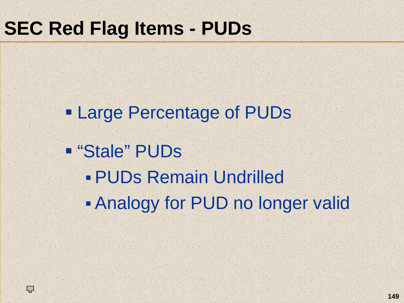#### **SEC Red Flag Items - PUDs**

Ļ,

 Large Percentage of PUDs "Stale" PUDs PUDs Remain Undrilled Analogy for PUD no longer valid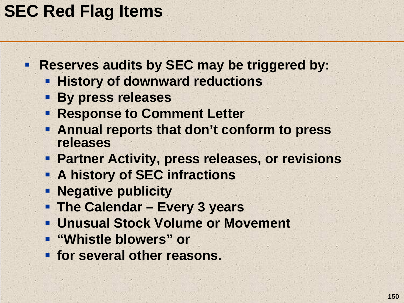#### **SEC Red Flag Items**

- **Reserves audits by SEC may be triggered by:** 
	- **History of downward reductions**
	- **By press releases**
	- **Response to Comment Letter**
	- **Annual reports that don't conform to press releases**
	- **Partner Activity, press releases, or revisions**
	- **A history of SEC infractions**
	- **Negative publicity**
	- **The Calendar – Every 3 years**
	- **Unusual Stock Volume or Movement**
	- **"Whistle blowers" or**
	- **for several other reasons.**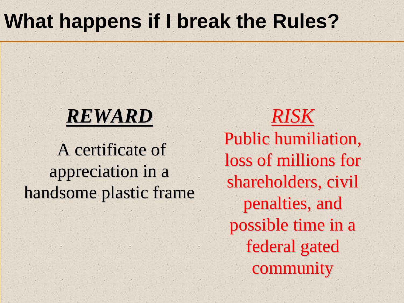### **What happens if I break the Rules?**

#### *REWARD*

A certificate of appreciation in a appreciation in a handsome plastic frame

*RISK* Public humiliation, loss of millions for shareholders, civil penalties, and possible time in a federal gated community community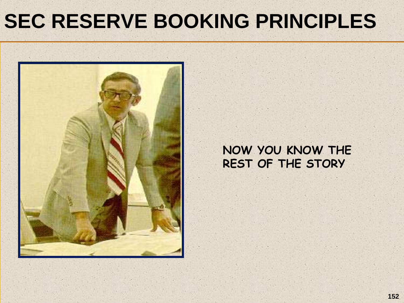# **SEC RESERVE BOOKING PRINCIPLES**



#### **NOW YOU KNOW THE REST OF THE STORY**